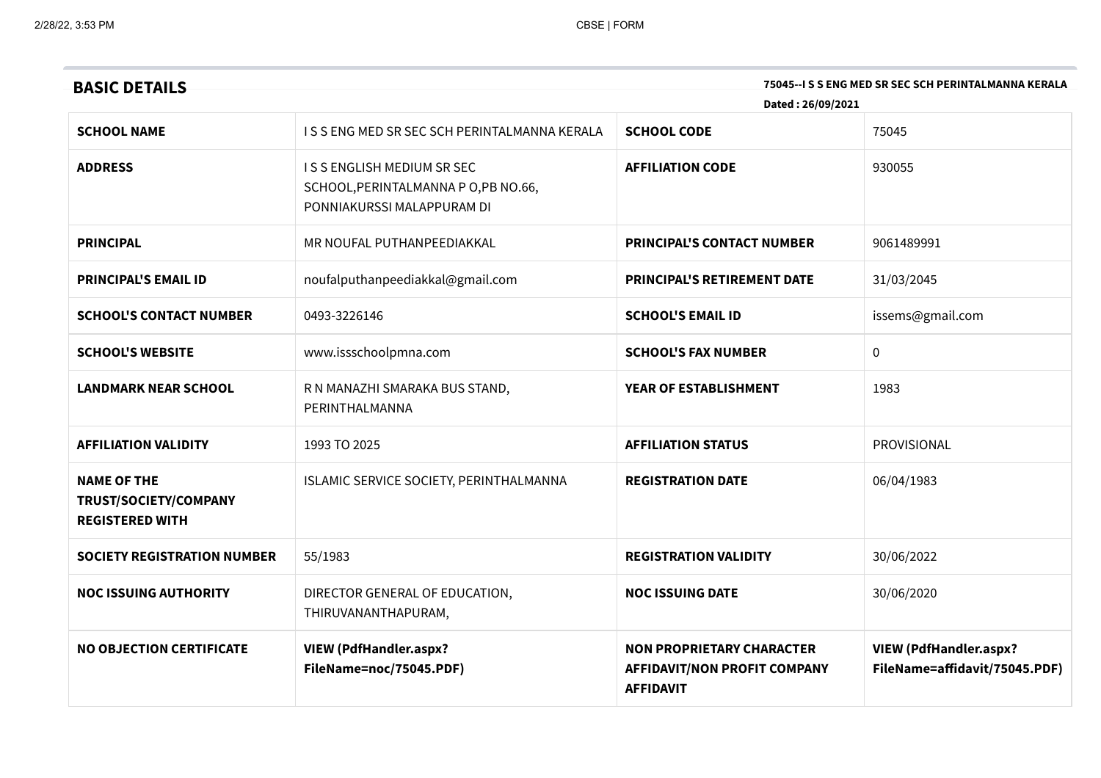| 75045--I S S ENG MED SR SEC SCH PERINTALMANNA KERALA<br><b>BASIC DETAILS</b><br>Dated: 26/09/2021 |                                                                                                |                                                                                             |                                                                |
|---------------------------------------------------------------------------------------------------|------------------------------------------------------------------------------------------------|---------------------------------------------------------------------------------------------|----------------------------------------------------------------|
| <b>SCHOOL NAME</b>                                                                                | ISSENG MED SR SEC SCH PERINTALMANNA KERALA                                                     | <b>SCHOOL CODE</b>                                                                          | 75045                                                          |
| <b>ADDRESS</b>                                                                                    | ISSENGLISH MEDIUM SR SEC<br>SCHOOL, PERINTALMANNA P O, PB NO.66,<br>PONNIAKURSSI MALAPPURAM DI | <b>AFFILIATION CODE</b>                                                                     | 930055                                                         |
| <b>PRINCIPAL</b>                                                                                  | MR NOUFAL PUTHANPEEDIAKKAL                                                                     | <b>PRINCIPAL'S CONTACT NUMBER</b>                                                           | 9061489991                                                     |
| <b>PRINCIPAL'S EMAIL ID</b>                                                                       | noufalputhanpeediakkal@gmail.com                                                               | PRINCIPAL'S RETIREMENT DATE                                                                 | 31/03/2045                                                     |
| <b>SCHOOL'S CONTACT NUMBER</b>                                                                    | 0493-3226146                                                                                   | <b>SCHOOL'S EMAIL ID</b>                                                                    | issems@gmail.com                                               |
| <b>SCHOOL'S WEBSITE</b>                                                                           | www.issschoolpmna.com                                                                          | <b>SCHOOL'S FAX NUMBER</b>                                                                  | $\mathbf 0$                                                    |
| <b>LANDMARK NEAR SCHOOL</b>                                                                       | R N MANAZHI SMARAKA BUS STAND,<br>PERINTHALMANNA                                               | YEAR OF ESTABLISHMENT                                                                       | 1983                                                           |
| <b>AFFILIATION VALIDITY</b>                                                                       | 1993 TO 2025                                                                                   | <b>AFFILIATION STATUS</b>                                                                   | PROVISIONAL                                                    |
| <b>NAME OF THE</b><br>TRUST/SOCIETY/COMPANY<br><b>REGISTERED WITH</b>                             | ISLAMIC SERVICE SOCIETY, PERINTHALMANNA                                                        | <b>REGISTRATION DATE</b>                                                                    | 06/04/1983                                                     |
| <b>SOCIETY REGISTRATION NUMBER</b>                                                                | 55/1983                                                                                        | <b>REGISTRATION VALIDITY</b>                                                                | 30/06/2022                                                     |
| <b>NOC ISSUING AUTHORITY</b>                                                                      | DIRECTOR GENERAL OF EDUCATION,<br>THIRUVANANTHAPURAM,                                          | <b>NOC ISSUING DATE</b>                                                                     | 30/06/2020                                                     |
| <b>NO OBJECTION CERTIFICATE</b>                                                                   | <b>VIEW (PdfHandler.aspx?</b><br>FileName=noc/75045.PDF)                                       | <b>NON PROPRIETARY CHARACTER</b><br><b>AFFIDAVIT/NON PROFIT COMPANY</b><br><b>AFFIDAVIT</b> | <b>VIEW (PdfHandler.aspx?</b><br>FileName=affidavit/75045.PDF) |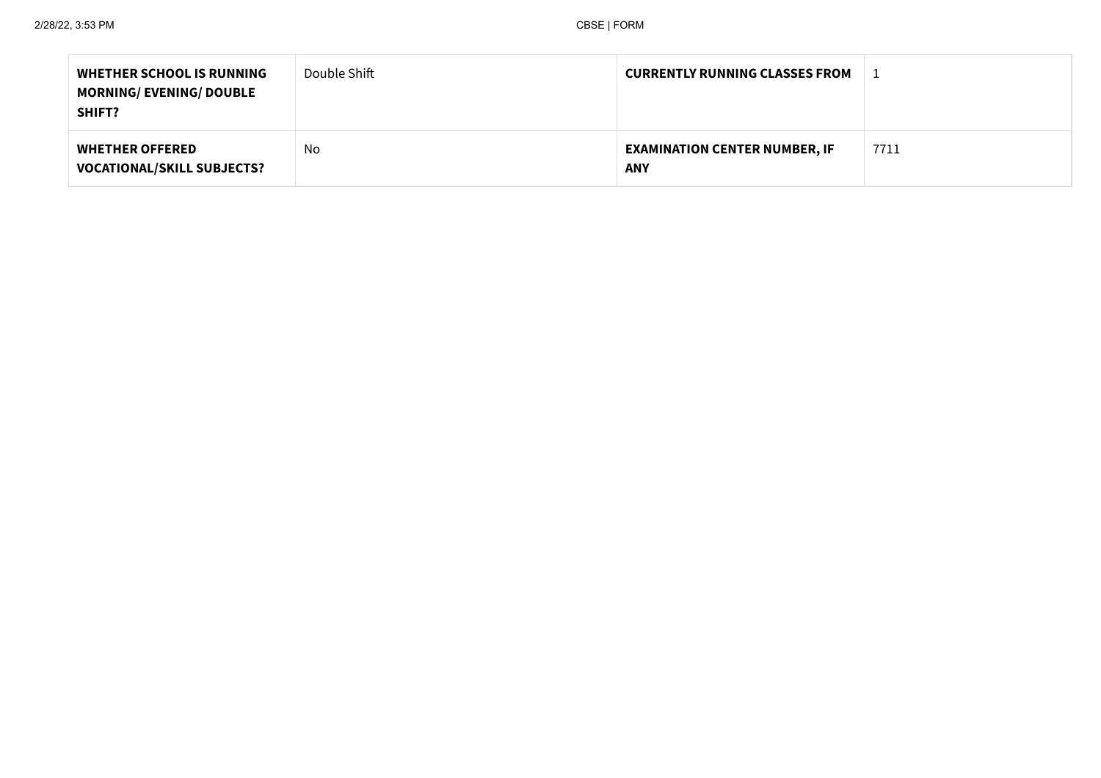| <b>WHETHER SCHOOL IS RUNNING</b><br><b>MORNING/ EVENING/ DOUBLE</b><br>SHIFT? | Double Shift | <b>CURRENTLY RUNNING CLASSES FROM</b>              |      |
|-------------------------------------------------------------------------------|--------------|----------------------------------------------------|------|
| <b>WHETHER OFFERED</b><br><b>VOCATIONAL/SKILL SUBJECTS?</b>                   | No           | <b>EXAMINATION CENTER NUMBER, IF</b><br><b>ANY</b> | 7711 |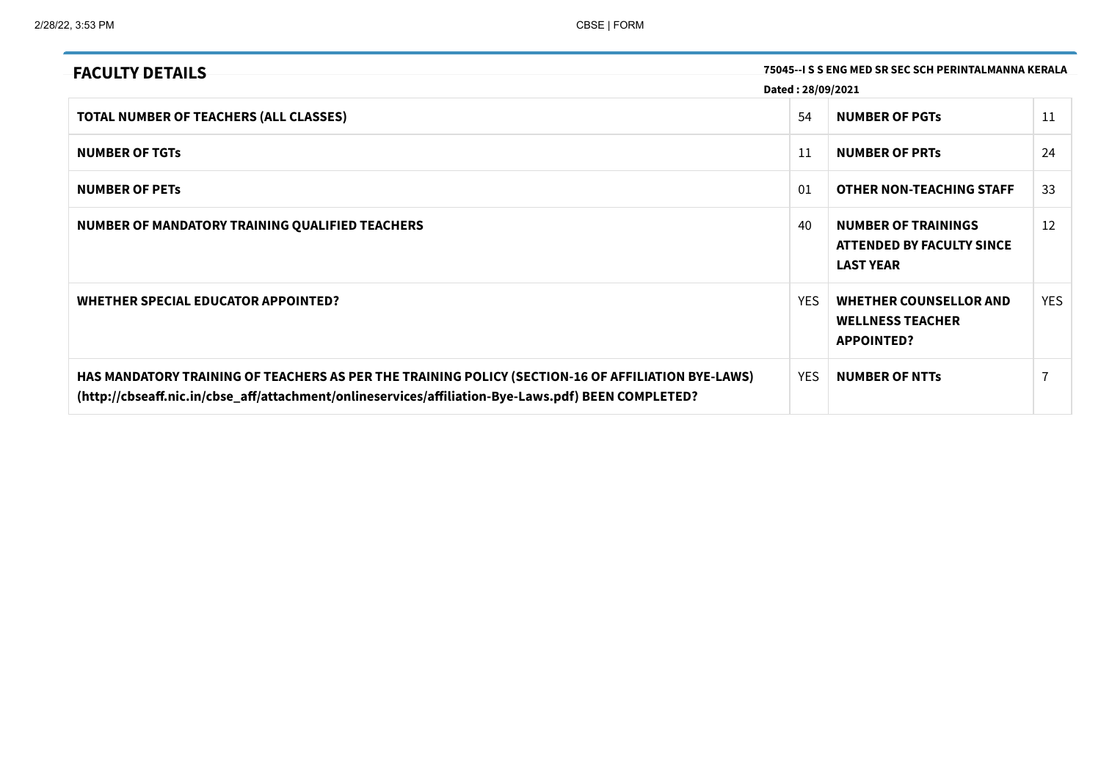| 75045--1 S S ENG MED SR SEC SCH PERINTALMANNA KERALA<br><b>FACULTY DETAILS</b>                                                                                                                            |                   |                                                                                    |            |
|-----------------------------------------------------------------------------------------------------------------------------------------------------------------------------------------------------------|-------------------|------------------------------------------------------------------------------------|------------|
|                                                                                                                                                                                                           | Dated: 28/09/2021 |                                                                                    |            |
| <b>TOTAL NUMBER OF TEACHERS (ALL CLASSES)</b>                                                                                                                                                             | 54                | <b>NUMBER OF PGTS</b>                                                              | 11         |
| <b>NUMBER OF TGTS</b>                                                                                                                                                                                     | 11                | <b>NUMBER OF PRTS</b>                                                              | 24         |
| <b>NUMBER OF PETS</b>                                                                                                                                                                                     | 01                | <b>OTHER NON-TEACHING STAFF</b>                                                    | 33         |
| NUMBER OF MANDATORY TRAINING QUALIFIED TEACHERS                                                                                                                                                           | 40                | <b>NUMBER OF TRAININGS</b><br><b>ATTENDED BY FACULTY SINCE</b><br><b>LAST YEAR</b> | 12         |
| WHETHER SPECIAL EDUCATOR APPOINTED?                                                                                                                                                                       | <b>YES</b>        | <b>WHETHER COUNSELLOR AND</b><br><b>WELLNESS TEACHER</b><br><b>APPOINTED?</b>      | <b>YES</b> |
| HAS MANDATORY TRAINING OF TEACHERS AS PER THE TRAINING POLICY (SECTION-16 OF AFFILIATION BYE-LAWS)<br>(http://cbseaff.nic.in/cbse_aff/attachment/onlineservices/affiliation-Bye-Laws.pdf) BEEN COMPLETED? | <b>YES</b>        | <b>NUMBER OF NTTs</b>                                                              |            |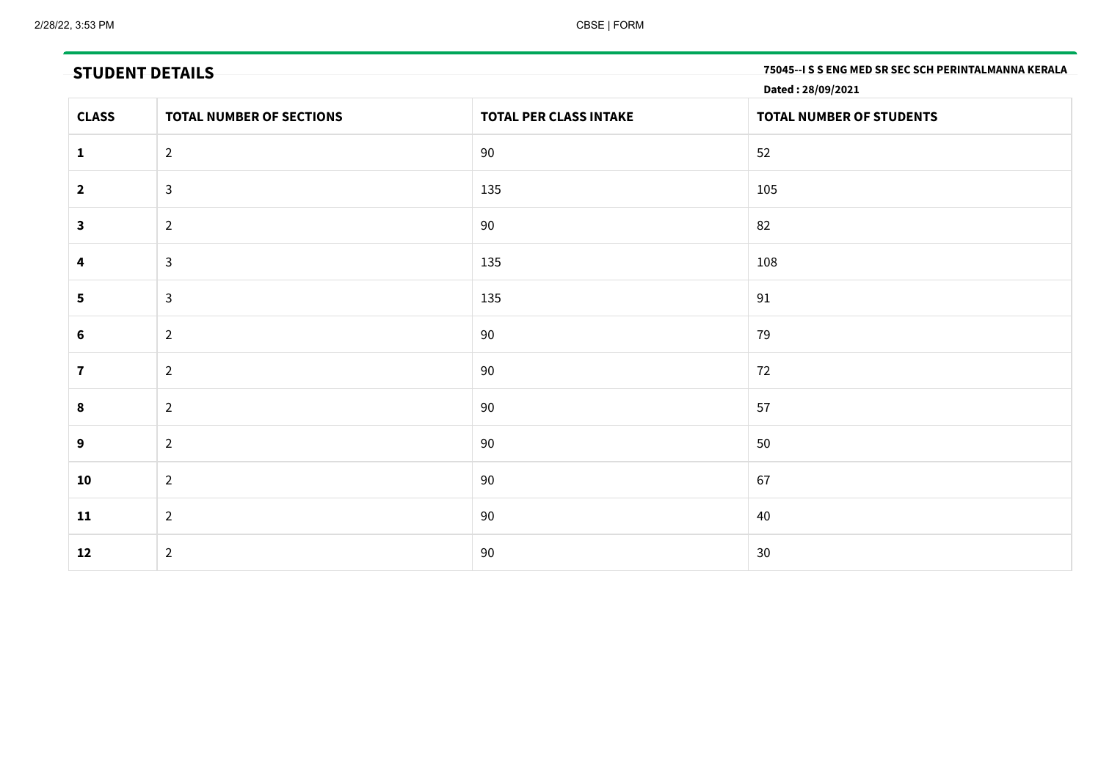**STUDENT DETAILS 75045--I <sup>S</sup> <sup>S</sup> ENG MED SR SEC SCH PERINTALMANNA KERALA**

|                         | Dated: 28/09/2021               |                        |                          |  |  |
|-------------------------|---------------------------------|------------------------|--------------------------|--|--|
| <b>CLASS</b>            | <b>TOTAL NUMBER OF SECTIONS</b> | TOTAL PER CLASS INTAKE | TOTAL NUMBER OF STUDENTS |  |  |
| 1                       | $\overline{2}$                  | 90                     | 52                       |  |  |
| $\overline{\mathbf{2}}$ | $\mathsf{3}$                    | 135                    | 105                      |  |  |
| $\mathbf{3}$            | $\overline{2}$                  | 90                     | 82                       |  |  |
| $\overline{\mathbf{4}}$ | $\mathbf{3}$                    | 135                    | 108                      |  |  |
| 5                       | $\mathsf{3}$                    | 135                    | 91                       |  |  |
| 6                       | $\overline{2}$                  | 90                     | 79                       |  |  |
| $\overline{\mathbf{7}}$ | $\overline{2}$                  | 90                     | 72                       |  |  |
| 8                       | $\overline{2}$                  | 90                     | 57                       |  |  |
| 9                       | $\overline{2}$                  | 90                     | 50                       |  |  |
| 10                      | $\overline{2}$                  | 90                     | 67                       |  |  |
| 11                      | $\overline{2}$                  | 90                     | 40                       |  |  |
| 12                      | $\overline{2}$                  | 90                     | $30\,$                   |  |  |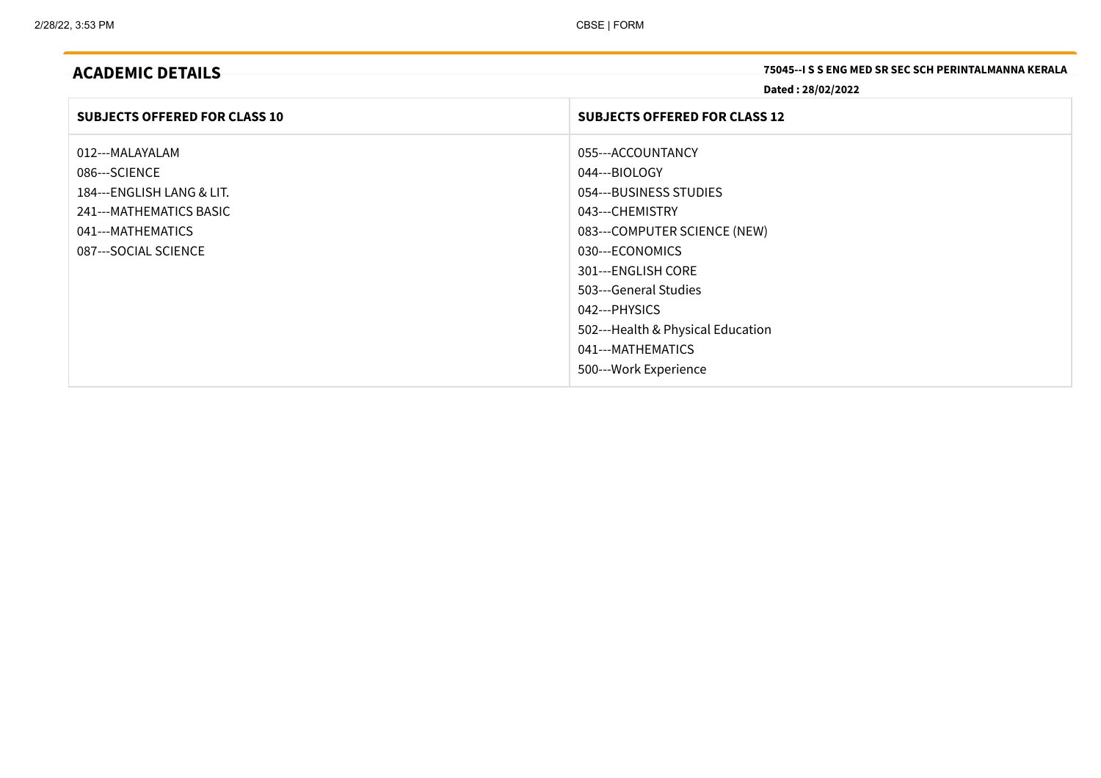**ACADEMIC DETAILS 75045--I <sup>S</sup> <sup>S</sup> ENG MED SR SEC SCH PERINTALMANNA KERALA**

**Dated : 28/02/2022**

| <b>SUBJECTS OFFERED FOR CLASS 10</b> | <b>SUBJECTS OFFERED FOR CLASS 12</b> |
|--------------------------------------|--------------------------------------|
| 012---MALAYALAM                      | 055---ACCOUNTANCY                    |
| 086---SCIENCE                        | 044---BIOLOGY                        |
| 184---ENGLISH LANG & LIT.            | 054---BUSINESS STUDIES               |
| 241---MATHEMATICS BASIC              | 043---CHEMISTRY                      |
| 041---MATHEMATICS                    | 083---COMPUTER SCIENCE (NEW)         |
| 087---SOCIAL SCIENCE                 | 030---ECONOMICS                      |
|                                      | 301---ENGLISH CORE                   |
|                                      | 503---General Studies                |
|                                      | 042---PHYSICS                        |
|                                      | 502---Health & Physical Education    |
|                                      | 041---MATHEMATICS                    |
|                                      | 500---Work Experience                |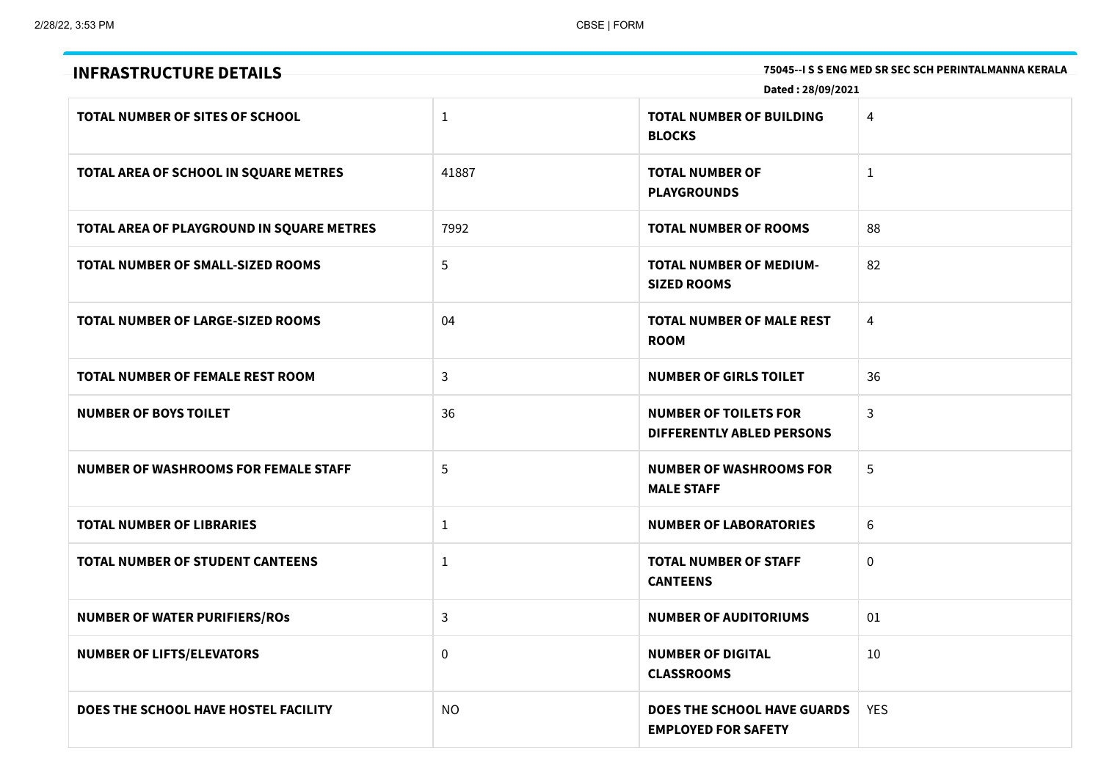| 75045--I S S ENG MED SR SEC SCH PERINTALMANNA KERALA<br><b>INFRASTRUCTURE DETAILS</b><br>Dated: 28/09/2021 |              |                                                                        |             |
|------------------------------------------------------------------------------------------------------------|--------------|------------------------------------------------------------------------|-------------|
| TOTAL NUMBER OF SITES OF SCHOOL                                                                            | $\mathbf{1}$ | <b>TOTAL NUMBER OF BUILDING</b><br><b>BLOCKS</b>                       | 4           |
| TOTAL AREA OF SCHOOL IN SQUARE METRES                                                                      | 41887        | <b>TOTAL NUMBER OF</b><br><b>PLAYGROUNDS</b>                           | $\mathbf 1$ |
| TOTAL AREA OF PLAYGROUND IN SQUARE METRES                                                                  | 7992         | <b>TOTAL NUMBER OF ROOMS</b>                                           | 88          |
| <b>TOTAL NUMBER OF SMALL-SIZED ROOMS</b>                                                                   | 5            | <b>TOTAL NUMBER OF MEDIUM-</b><br><b>SIZED ROOMS</b>                   | 82          |
| <b>TOTAL NUMBER OF LARGE-SIZED ROOMS</b>                                                                   | 04           | <b>TOTAL NUMBER OF MALE REST</b><br><b>ROOM</b>                        | 4           |
| TOTAL NUMBER OF FEMALE REST ROOM                                                                           | 3            | <b>NUMBER OF GIRLS TOILET</b>                                          | 36          |
| <b>NUMBER OF BOYS TOILET</b>                                                                               | 36           | <b>NUMBER OF TOILETS FOR</b><br><b>DIFFERENTLY ABLED PERSONS</b>       | 3           |
| <b>NUMBER OF WASHROOMS FOR FEMALE STAFF</b>                                                                | 5            | <b>NUMBER OF WASHROOMS FOR</b><br><b>MALE STAFF</b>                    | 5           |
| <b>TOTAL NUMBER OF LIBRARIES</b>                                                                           | $\mathbf{1}$ | <b>NUMBER OF LABORATORIES</b>                                          | 6           |
| <b>TOTAL NUMBER OF STUDENT CANTEENS</b>                                                                    | $\mathbf{1}$ | <b>TOTAL NUMBER OF STAFF</b><br><b>CANTEENS</b>                        | $\mathbf 0$ |
| <b>NUMBER OF WATER PURIFIERS/ROS</b>                                                                       | 3            | <b>NUMBER OF AUDITORIUMS</b>                                           | 01          |
| <b>NUMBER OF LIFTS/ELEVATORS</b>                                                                           | 0            | <b>NUMBER OF DIGITAL</b><br><b>CLASSROOMS</b>                          | 10          |
| DOES THE SCHOOL HAVE HOSTEL FACILITY                                                                       | <b>NO</b>    | <b>DOES THE SCHOOL HAVE GUARDS</b>   YES<br><b>EMPLOYED FOR SAFETY</b> |             |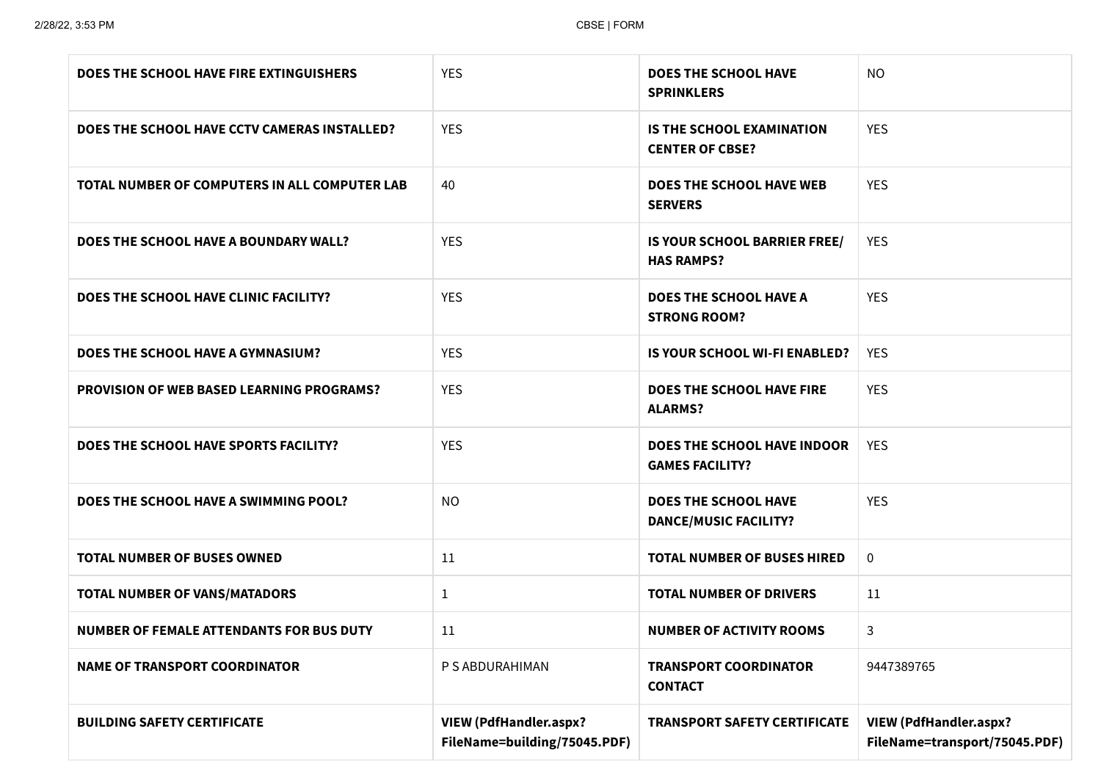| DOES THE SCHOOL HAVE FIRE EXTINGUISHERS              | <b>YES</b>                                                    | <b>DOES THE SCHOOL HAVE</b><br><b>SPRINKLERS</b>             | <b>NO</b>                                                      |
|------------------------------------------------------|---------------------------------------------------------------|--------------------------------------------------------------|----------------------------------------------------------------|
| DOES THE SCHOOL HAVE CCTV CAMERAS INSTALLED?         | <b>YES</b>                                                    | <b>IS THE SCHOOL EXAMINATION</b><br><b>CENTER OF CBSE?</b>   | <b>YES</b>                                                     |
| <b>TOTAL NUMBER OF COMPUTERS IN ALL COMPUTER LAB</b> | 40                                                            | <b>DOES THE SCHOOL HAVE WEB</b><br><b>SERVERS</b>            | <b>YES</b>                                                     |
| DOES THE SCHOOL HAVE A BOUNDARY WALL?                | <b>YES</b>                                                    | IS YOUR SCHOOL BARRIER FREE/<br><b>HAS RAMPS?</b>            | <b>YES</b>                                                     |
| DOES THE SCHOOL HAVE CLINIC FACILITY?                | <b>YES</b>                                                    | <b>DOES THE SCHOOL HAVE A</b><br><b>STRONG ROOM?</b>         | <b>YES</b>                                                     |
| DOES THE SCHOOL HAVE A GYMNASIUM?                    | <b>YES</b>                                                    | IS YOUR SCHOOL WI-FI ENABLED?                                | <b>YES</b>                                                     |
| <b>PROVISION OF WEB BASED LEARNING PROGRAMS?</b>     | <b>YES</b>                                                    | <b>DOES THE SCHOOL HAVE FIRE</b><br><b>ALARMS?</b>           | <b>YES</b>                                                     |
| DOES THE SCHOOL HAVE SPORTS FACILITY?                | <b>YES</b>                                                    | <b>DOES THE SCHOOL HAVE INDOOR</b><br><b>GAMES FACILITY?</b> | <b>YES</b>                                                     |
| DOES THE SCHOOL HAVE A SWIMMING POOL?                | <b>NO</b>                                                     | <b>DOES THE SCHOOL HAVE</b><br><b>DANCE/MUSIC FACILITY?</b>  | <b>YES</b>                                                     |
| <b>TOTAL NUMBER OF BUSES OWNED</b>                   | 11                                                            | <b>TOTAL NUMBER OF BUSES HIRED</b>                           | $\mathbf 0$                                                    |
| <b>TOTAL NUMBER OF VANS/MATADORS</b>                 | $\mathbf{1}$                                                  | <b>TOTAL NUMBER OF DRIVERS</b>                               | 11                                                             |
| <b>NUMBER OF FEMALE ATTENDANTS FOR BUS DUTY</b>      | 11                                                            | <b>NUMBER OF ACTIVITY ROOMS</b>                              | 3                                                              |
| <b>NAME OF TRANSPORT COORDINATOR</b>                 | P S ABDURAHIMAN                                               | <b>TRANSPORT COORDINATOR</b><br><b>CONTACT</b>               | 9447389765                                                     |
| <b>BUILDING SAFETY CERTIFICATE</b>                   | <b>VIEW (PdfHandler.aspx?</b><br>FileName=building/75045.PDF) | <b>TRANSPORT SAFETY CERTIFICATE</b>                          | <b>VIEW (PdfHandler.aspx?</b><br>FileName=transport/75045.PDF) |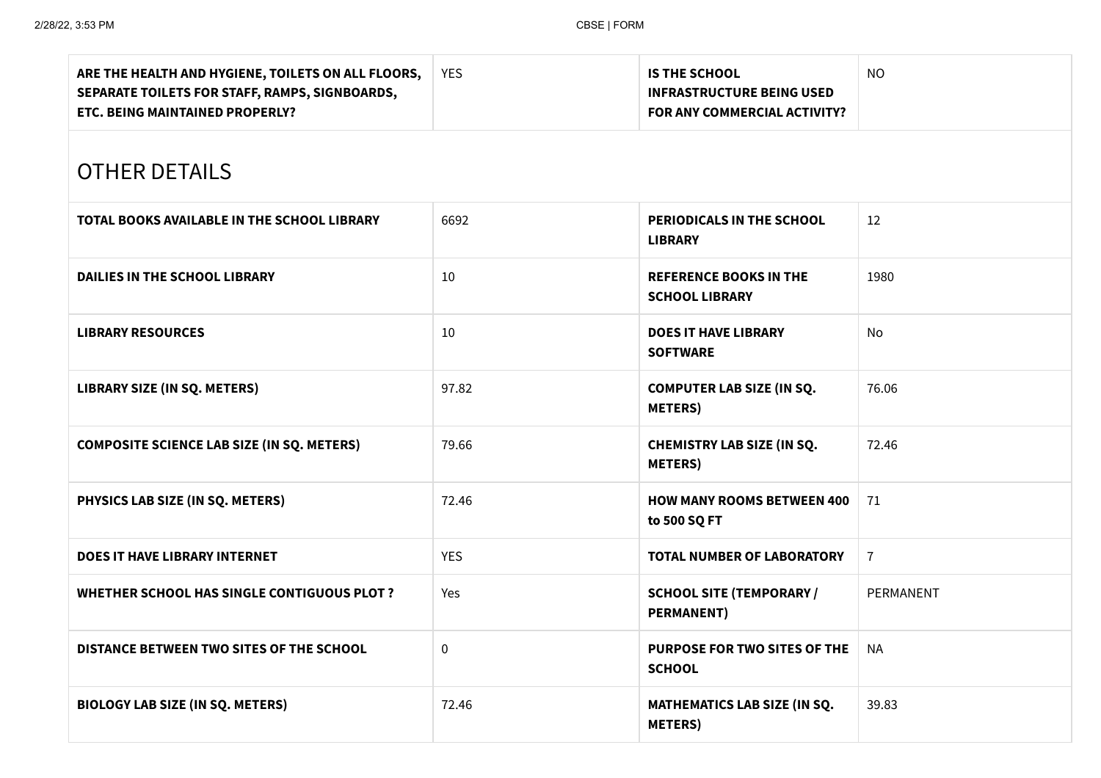| ARE THE HEALTH AND HYGIENE, TOILETS ON ALL FLOORS,<br>SEPARATE TOILETS FOR STAFF, RAMPS, SIGNBOARDS,<br>ETC. BEING MAINTAINED PROPERLY? | <b>YES</b> | <b>IS THE SCHOOL</b><br><b>INFRASTRUCTURE BEING USED</b><br>FOR ANY COMMERCIAL ACTIVITY? | <b>NO</b>      |  |  |
|-----------------------------------------------------------------------------------------------------------------------------------------|------------|------------------------------------------------------------------------------------------|----------------|--|--|
| <b>OTHER DETAILS</b>                                                                                                                    |            |                                                                                          |                |  |  |
| TOTAL BOOKS AVAILABLE IN THE SCHOOL LIBRARY                                                                                             | 6692       | <b>PERIODICALS IN THE SCHOOL</b><br><b>LIBRARY</b>                                       | 12             |  |  |
| <b>DAILIES IN THE SCHOOL LIBRARY</b>                                                                                                    | 10         | <b>REFERENCE BOOKS IN THE</b><br><b>SCHOOL LIBRARY</b>                                   | 1980           |  |  |
| <b>LIBRARY RESOURCES</b>                                                                                                                | 10         | <b>DOES IT HAVE LIBRARY</b><br><b>SOFTWARE</b>                                           | No             |  |  |
| LIBRARY SIZE (IN SQ. METERS)                                                                                                            | 97.82      | <b>COMPUTER LAB SIZE (IN SQ.</b><br><b>METERS</b> )                                      | 76.06          |  |  |
| <b>COMPOSITE SCIENCE LAB SIZE (IN SQ. METERS)</b>                                                                                       | 79.66      | <b>CHEMISTRY LAB SIZE (IN SQ.</b><br><b>METERS</b> )                                     | 72.46          |  |  |
| PHYSICS LAB SIZE (IN SQ. METERS)                                                                                                        | 72.46      | <b>HOW MANY ROOMS BETWEEN 400</b><br>to 500 SQ FT                                        | -71            |  |  |
| <b>DOES IT HAVE LIBRARY INTERNET</b>                                                                                                    | <b>YES</b> | <b>TOTAL NUMBER OF LABORATORY</b>                                                        | $\overline{7}$ |  |  |
| WHETHER SCHOOL HAS SINGLE CONTIGUOUS PLOT ?                                                                                             | Yes        | <b>SCHOOL SITE (TEMPORARY /</b><br><b>PERMANENT)</b>                                     | PERMANENT      |  |  |
| DISTANCE BETWEEN TWO SITES OF THE SCHOOL                                                                                                | $\pmb{0}$  | PURPOSE FOR TWO SITES OF THE<br><b>SCHOOL</b>                                            | <b>NA</b>      |  |  |
| <b>BIOLOGY LAB SIZE (IN SQ. METERS)</b>                                                                                                 | 72.46      | MATHEMATICS LAB SIZE (IN SQ.<br><b>METERS</b> )                                          | 39.83          |  |  |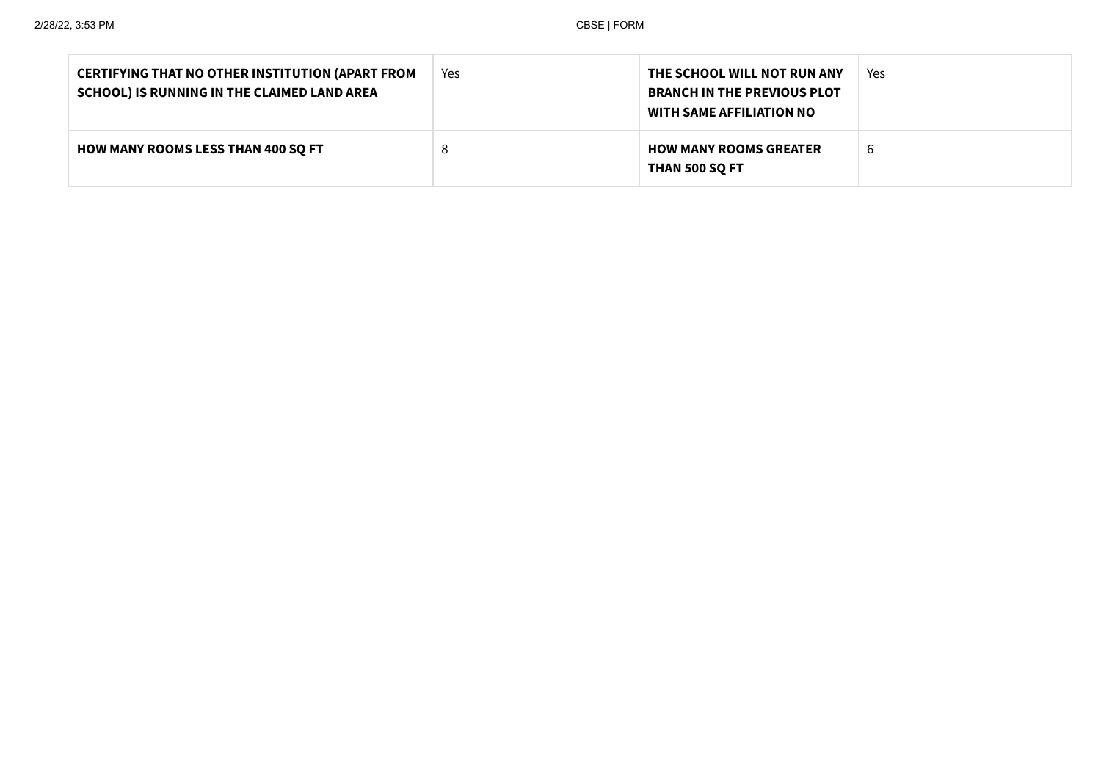| <b>CERTIFYING THAT NO OTHER INSTITUTION (APART FROM</b><br>SCHOOL) IS RUNNING IN THE CLAIMED LAND AREA | Yes | THE SCHOOL WILL NOT RUN ANY<br><b>BRANCH IN THE PREVIOUS PLOT</b><br><b>WITH SAME AFFILIATION NO</b> | Yes |
|--------------------------------------------------------------------------------------------------------|-----|------------------------------------------------------------------------------------------------------|-----|
| <b>HOW MANY ROOMS LESS THAN 400 SQ FT</b>                                                              | 8   | <b>HOW MANY ROOMS GREATER</b><br><b>THAN 500 SQ FT</b>                                               | b   |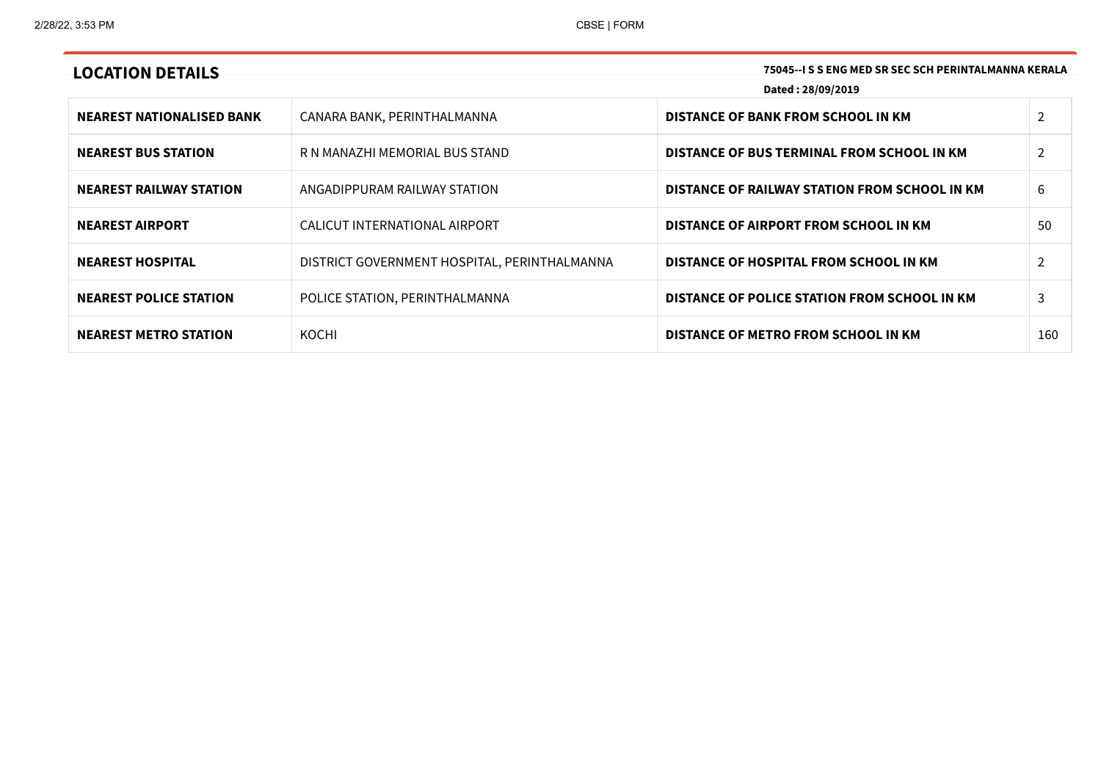| 75045--I S S ENG MED SR SEC SCH PERINTALMANNA KERALA<br><b>LOCATION DETAILS</b><br>Dated: 28/09/2019 |                                              |                                                   |                |
|------------------------------------------------------------------------------------------------------|----------------------------------------------|---------------------------------------------------|----------------|
| <b>NEAREST NATIONALISED BANK</b>                                                                     | CANARA BANK, PERINTHALMANNA                  | <b>DISTANCE OF BANK FROM SCHOOL IN KM</b>         | $\overline{2}$ |
| <b>NEAREST BUS STATION</b>                                                                           | R N MANAZHI MEMORIAL BUS STAND               | <b>DISTANCE OF BUS TERMINAL FROM SCHOOL IN KM</b> | 2              |
| <b>NEAREST RAILWAY STATION</b>                                                                       | ANGADIPPURAM RAILWAY STATION                 | DISTANCE OF RAILWAY STATION FROM SCHOOL IN KM     | 6              |
| <b>NEAREST AIRPORT</b>                                                                               | CALICUT INTERNATIONAL AIRPORT                | DISTANCE OF AIRPORT FROM SCHOOL IN KM             | 50             |
| <b>NEAREST HOSPITAL</b>                                                                              | DISTRICT GOVERNMENT HOSPITAL, PERINTHALMANNA | DISTANCE OF HOSPITAL FROM SCHOOL IN KM            | $\overline{2}$ |
| <b>NEAREST POLICE STATION</b>                                                                        | POLICE STATION, PERINTHALMANNA               | DISTANCE OF POLICE STATION FROM SCHOOL IN KM      | 3              |
| <b>NEAREST METRO STATION</b>                                                                         | KOCHI                                        | DISTANCE OF METRO FROM SCHOOL IN KM               | 160            |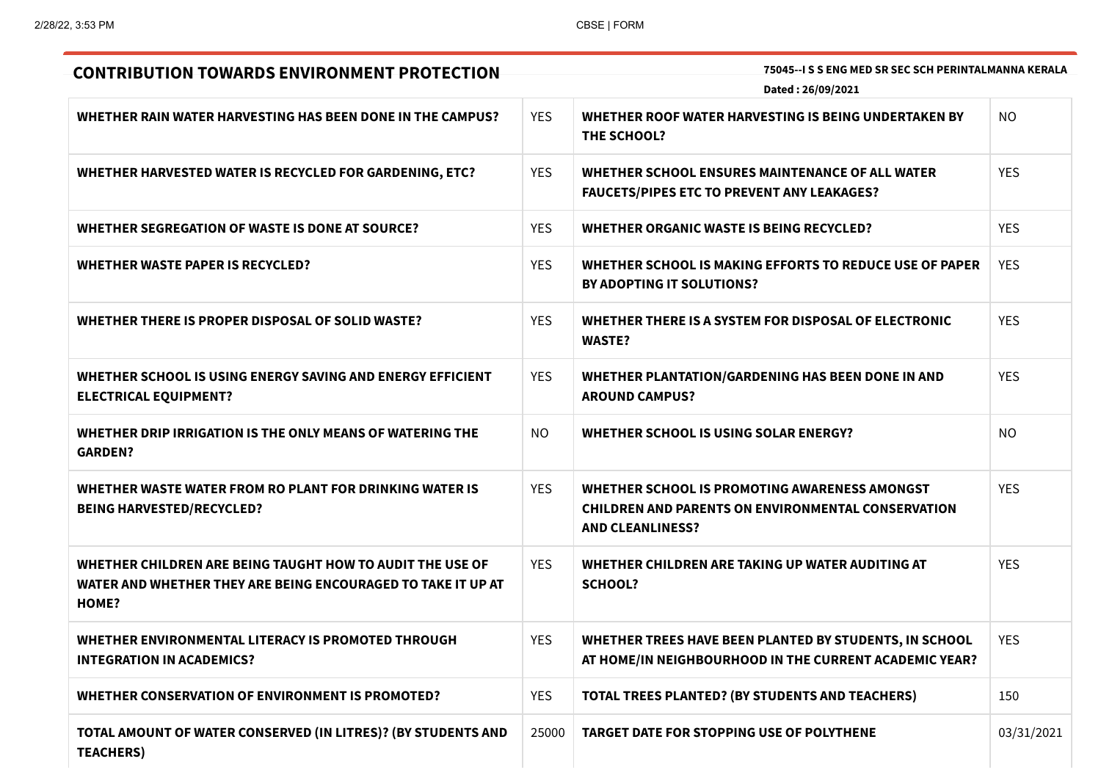| 75045--1 S S ENG MED SR SEC SCH PERINTALMANNA KERALA<br><b>CONTRIBUTION TOWARDS ENVIRONMENT PROTECTION</b>                         |            |                                                                                                                                       |            |  |
|------------------------------------------------------------------------------------------------------------------------------------|------------|---------------------------------------------------------------------------------------------------------------------------------------|------------|--|
| Dated: 26/09/2021                                                                                                                  |            |                                                                                                                                       |            |  |
| WHETHER RAIN WATER HARVESTING HAS BEEN DONE IN THE CAMPUS?                                                                         | <b>YES</b> | WHETHER ROOF WATER HARVESTING IS BEING UNDERTAKEN BY<br>THE SCHOOL?                                                                   | <b>NO</b>  |  |
| <b>WHETHER HARVESTED WATER IS RECYCLED FOR GARDENING, ETC?</b>                                                                     | <b>YES</b> | WHETHER SCHOOL ENSURES MAINTENANCE OF ALL WATER<br><b>FAUCETS/PIPES ETC TO PREVENT ANY LEAKAGES?</b>                                  | <b>YES</b> |  |
| WHETHER SEGREGATION OF WASTE IS DONE AT SOURCE?                                                                                    | <b>YES</b> | WHETHER ORGANIC WASTE IS BEING RECYCLED?                                                                                              | <b>YES</b> |  |
| WHETHER WASTE PAPER IS RECYCLED?                                                                                                   | <b>YES</b> | WHETHER SCHOOL IS MAKING EFFORTS TO REDUCE USE OF PAPER<br><b>BY ADOPTING IT SOLUTIONS?</b>                                           | <b>YES</b> |  |
| WHETHER THERE IS PROPER DISPOSAL OF SOLID WASTE?                                                                                   | <b>YES</b> | WHETHER THERE IS A SYSTEM FOR DISPOSAL OF ELECTRONIC<br><b>WASTE?</b>                                                                 | <b>YES</b> |  |
| WHETHER SCHOOL IS USING ENERGY SAVING AND ENERGY EFFICIENT<br><b>ELECTRICAL EQUIPMENT?</b>                                         | <b>YES</b> | WHETHER PLANTATION/GARDENING HAS BEEN DONE IN AND<br><b>AROUND CAMPUS?</b>                                                            | <b>YES</b> |  |
| WHETHER DRIP IRRIGATION IS THE ONLY MEANS OF WATERING THE<br><b>GARDEN?</b>                                                        | <b>NO</b>  | WHETHER SCHOOL IS USING SOLAR ENERGY?                                                                                                 | <b>NO</b>  |  |
| WHETHER WASTE WATER FROM RO PLANT FOR DRINKING WATER IS<br><b>BEING HARVESTED/RECYCLED?</b>                                        | <b>YES</b> | WHETHER SCHOOL IS PROMOTING AWARENESS AMONGST<br><b>CHILDREN AND PARENTS ON ENVIRONMENTAL CONSERVATION</b><br><b>AND CLEANLINESS?</b> | <b>YES</b> |  |
| WHETHER CHILDREN ARE BEING TAUGHT HOW TO AUDIT THE USE OF<br>WATER AND WHETHER THEY ARE BEING ENCOURAGED TO TAKE IT UP AT<br>HOME? | <b>YES</b> | WHETHER CHILDREN ARE TAKING UP WATER AUDITING AT<br><b>SCHOOL?</b>                                                                    | <b>YES</b> |  |
| WHETHER ENVIRONMENTAL LITERACY IS PROMOTED THROUGH<br><b>INTEGRATION IN ACADEMICS?</b>                                             | <b>YES</b> | WHETHER TREES HAVE BEEN PLANTED BY STUDENTS, IN SCHOOL<br>AT HOME/IN NEIGHBOURHOOD IN THE CURRENT ACADEMIC YEAR?                      | <b>YES</b> |  |
| WHETHER CONSERVATION OF ENVIRONMENT IS PROMOTED?                                                                                   | <b>YES</b> | <b>TOTAL TREES PLANTED? (BY STUDENTS AND TEACHERS)</b>                                                                                | 150        |  |
| TOTAL AMOUNT OF WATER CONSERVED (IN LITRES)? (BY STUDENTS AND<br><b>TEACHERS)</b>                                                  | 25000      | <b>TARGET DATE FOR STOPPING USE OF POLYTHENE</b>                                                                                      | 03/31/2021 |  |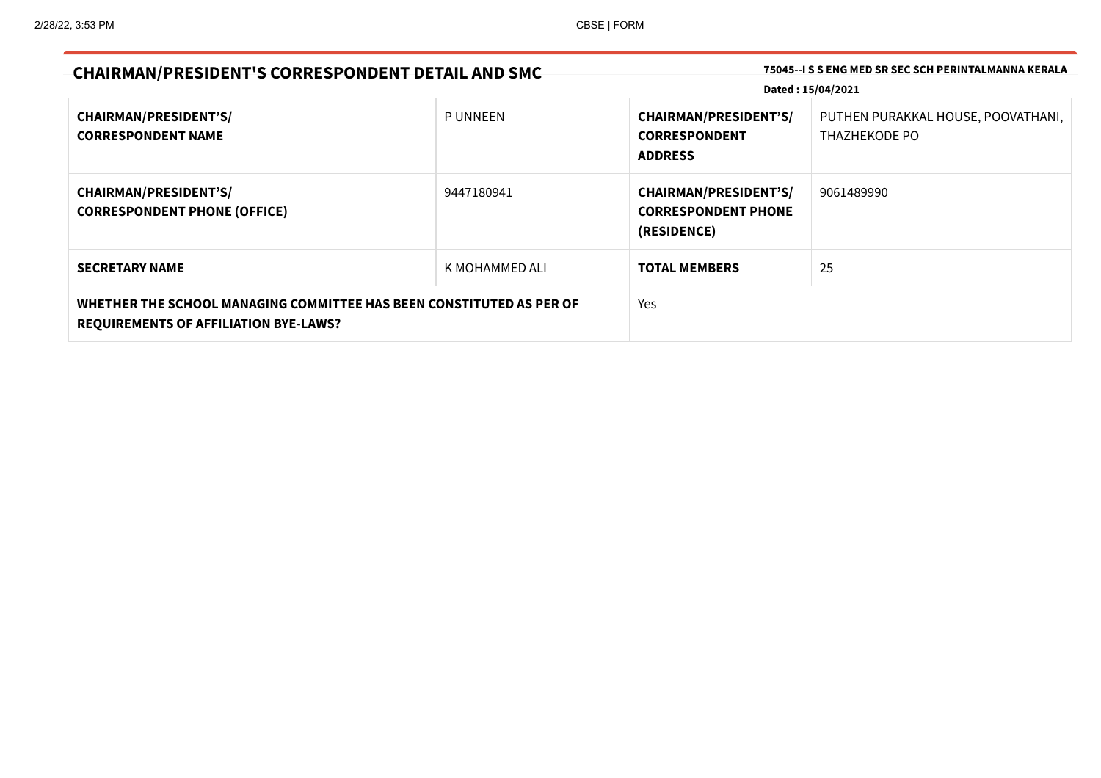| <b>CHAIRMAN/PRESIDENT'S CORRESPONDENT DETAIL AND SMC</b>                                                             |                |                                                                           | 75045--1 S S ENG MED SR SEC SCH PERINTALMANNA KERALA<br>Dated: 15/04/2021 |
|----------------------------------------------------------------------------------------------------------------------|----------------|---------------------------------------------------------------------------|---------------------------------------------------------------------------|
| <b>CHAIRMAN/PRESIDENT'S/</b><br><b>CORRESPONDENT NAME</b>                                                            | <b>PUNNEEN</b> | <b>CHAIRMAN/PRESIDENT'S/</b><br><b>CORRESPONDENT</b><br><b>ADDRESS</b>    | PUTHEN PURAKKAL HOUSE, POOVATHANI,<br>THAZHEKODE PO                       |
| <b>CHAIRMAN/PRESIDENT'S/</b><br><b>CORRESPONDENT PHONE (OFFICE)</b>                                                  | 9447180941     | <b>CHAIRMAN/PRESIDENT'S/</b><br><b>CORRESPONDENT PHONE</b><br>(RESIDENCE) | 9061489990                                                                |
| <b>SECRETARY NAME</b>                                                                                                | K MOHAMMED ALI | <b>TOTAL MEMBERS</b>                                                      | 25                                                                        |
| WHETHER THE SCHOOL MANAGING COMMITTEE HAS BEEN CONSTITUTED AS PER OF<br><b>REQUIREMENTS OF AFFILIATION BYE-LAWS?</b> |                | Yes                                                                       |                                                                           |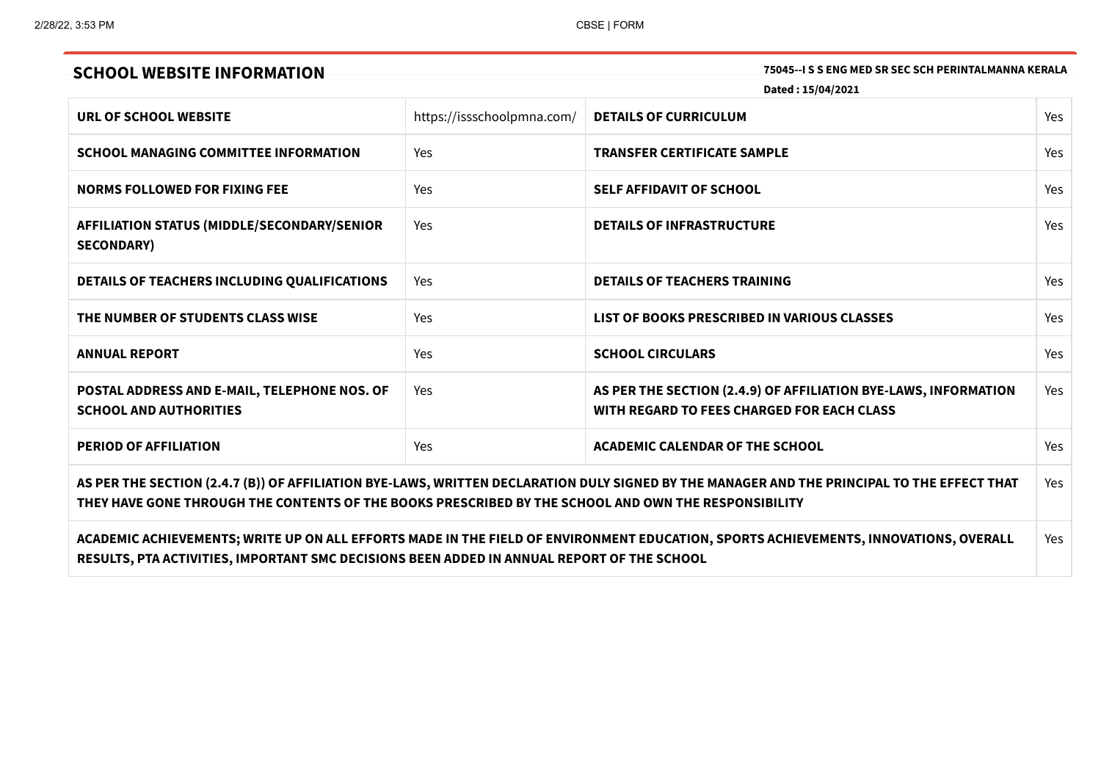# **SCHOOL WEBSITE INFORMATION 75045--I <sup>S</sup> <sup>S</sup> ENG MED SR SEC SCH PERINTALMANNA KERALA**

**Dated : 15/04/2021**

| URL OF SCHOOL WEBSITE                                                                                                                                                                                                                               | https://issschoolpmna.com/ | <b>DETAILS OF CURRICULUM</b>                                                                                                         | Yes |
|-----------------------------------------------------------------------------------------------------------------------------------------------------------------------------------------------------------------------------------------------------|----------------------------|--------------------------------------------------------------------------------------------------------------------------------------|-----|
| <b>SCHOOL MANAGING COMMITTEE INFORMATION</b>                                                                                                                                                                                                        | Yes                        | <b>TRANSFER CERTIFICATE SAMPLE</b>                                                                                                   | Yes |
| <b>NORMS FOLLOWED FOR FIXING FEE</b>                                                                                                                                                                                                                | Yes                        | <b>SELF AFFIDAVIT OF SCHOOL</b>                                                                                                      | Yes |
| AFFILIATION STATUS (MIDDLE/SECONDARY/SENIOR<br><b>SECONDARY)</b>                                                                                                                                                                                    | Yes                        | <b>DETAILS OF INFRASTRUCTURE</b>                                                                                                     | Yes |
| DETAILS OF TEACHERS INCLUDING QUALIFICATIONS                                                                                                                                                                                                        | Yes                        | <b>DETAILS OF TEACHERS TRAINING</b>                                                                                                  | Yes |
| THE NUMBER OF STUDENTS CLASS WISE                                                                                                                                                                                                                   | Yes                        | LIST OF BOOKS PRESCRIBED IN VARIOUS CLASSES                                                                                          | Yes |
| <b>ANNUAL REPORT</b>                                                                                                                                                                                                                                | Yes                        | <b>SCHOOL CIRCULARS</b>                                                                                                              | Yes |
| POSTAL ADDRESS AND E-MAIL, TELEPHONE NOS. OF<br><b>SCHOOL AND AUTHORITIES</b>                                                                                                                                                                       | Yes                        | AS PER THE SECTION (2.4.9) OF AFFILIATION BYE-LAWS, INFORMATION<br>WITH REGARD TO FEES CHARGED FOR EACH CLASS                        | Yes |
| <b>PERIOD OF AFFILIATION</b>                                                                                                                                                                                                                        | Yes                        | <b>ACADEMIC CALENDAR OF THE SCHOOL</b>                                                                                               | Yes |
| AS PER THE SECTION (2.4.7 (B)) OF AFFILIATION BYE-LAWS, WRITTEN DECLARATION DULY SIGNED BY THE MANAGER AND THE PRINCIPAL TO THE EFFECT THAT<br>THEY HAVE GONE THROUGH THE CONTENTS OF THE BOOKS PRESCRIBED BY THE SCHOOL AND OWN THE RESPONSIBILITY |                            |                                                                                                                                      |     |
|                                                                                                                                                                                                                                                     |                            | ACADEMIC ACHIEVEMENTS; WRITE UP ON ALL EFFORTS MADE IN THE FIELD OF ENVIRONMENT EDUCATION, SPORTS ACHIEVEMENTS, INNOVATIONS, OVERALL | Yes |

**RESULTS, PTA ACTIVITIES, IMPORTANT SMC DECISIONS BEEN ADDED IN ANNUAL REPORT OF THE SCHOOL**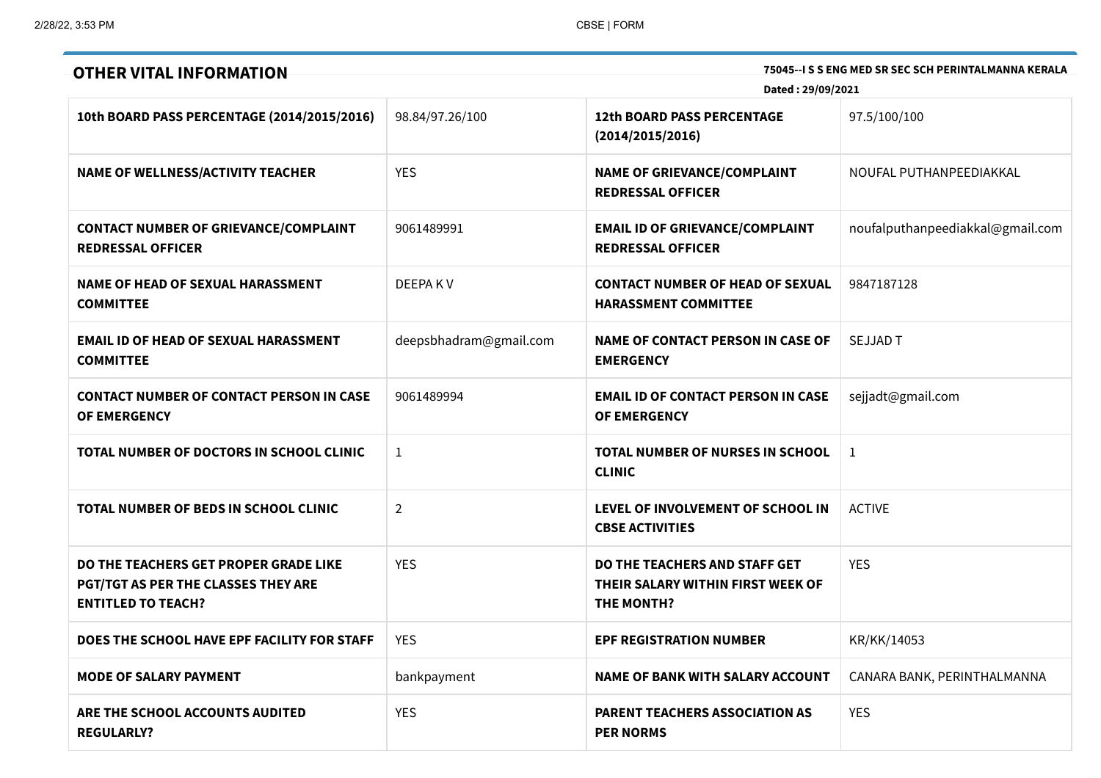| 75045--I S S ENG MED SR SEC SCH PERINTALMANNA KERALA<br><b>OTHER VITAL INFORMATION</b>                    |                        |                                                                                  |                                  |
|-----------------------------------------------------------------------------------------------------------|------------------------|----------------------------------------------------------------------------------|----------------------------------|
|                                                                                                           |                        | Dated: 29/09/2021                                                                |                                  |
| 10th BOARD PASS PERCENTAGE (2014/2015/2016)                                                               | 98.84/97.26/100        | <b>12th BOARD PASS PERCENTAGE</b><br>(2014/2015/2016)                            | 97.5/100/100                     |
| NAME OF WELLNESS/ACTIVITY TEACHER                                                                         | <b>YES</b>             | <b>NAME OF GRIEVANCE/COMPLAINT</b><br><b>REDRESSAL OFFICER</b>                   | NOUFAL PUTHANPEEDIAKKAL          |
| <b>CONTACT NUMBER OF GRIEVANCE/COMPLAINT</b><br><b>REDRESSAL OFFICER</b>                                  | 9061489991             | <b>EMAIL ID OF GRIEVANCE/COMPLAINT</b><br><b>REDRESSAL OFFICER</b>               | noufalputhanpeediakkal@gmail.com |
| <b>NAME OF HEAD OF SEXUAL HARASSMENT</b><br><b>COMMITTEE</b>                                              | DEEPA KV               | <b>CONTACT NUMBER OF HEAD OF SEXUAL</b><br><b>HARASSMENT COMMITTEE</b>           | 9847187128                       |
| <b>EMAIL ID OF HEAD OF SEXUAL HARASSMENT</b><br><b>COMMITTEE</b>                                          | deepsbhadram@gmail.com | <b>NAME OF CONTACT PERSON IN CASE OF</b><br><b>EMERGENCY</b>                     | <b>SEJJAD T</b>                  |
| <b>CONTACT NUMBER OF CONTACT PERSON IN CASE</b><br><b>OF EMERGENCY</b>                                    | 9061489994             | <b>EMAIL ID OF CONTACT PERSON IN CASE</b><br><b>OF EMERGENCY</b>                 | sejjadt@gmail.com                |
| TOTAL NUMBER OF DOCTORS IN SCHOOL CLINIC                                                                  | $\mathbf{1}$           | <b>TOTAL NUMBER OF NURSES IN SCHOOL</b><br><b>CLINIC</b>                         | $\mathbf{1}$                     |
| TOTAL NUMBER OF BEDS IN SCHOOL CLINIC                                                                     | $\overline{2}$         | LEVEL OF INVOLVEMENT OF SCHOOL IN<br><b>CBSE ACTIVITIES</b>                      | <b>ACTIVE</b>                    |
| DO THE TEACHERS GET PROPER GRADE LIKE<br>PGT/TGT AS PER THE CLASSES THEY ARE<br><b>ENTITLED TO TEACH?</b> | <b>YES</b>             | DO THE TEACHERS AND STAFF GET<br>THEIR SALARY WITHIN FIRST WEEK OF<br>THE MONTH? | <b>YES</b>                       |
| DOES THE SCHOOL HAVE EPF FACILITY FOR STAFF                                                               | <b>YES</b>             | <b>EPF REGISTRATION NUMBER</b>                                                   | KR/KK/14053                      |
| <b>MODE OF SALARY PAYMENT</b>                                                                             | bankpayment            | <b>NAME OF BANK WITH SALARY ACCOUNT</b>                                          | CANARA BANK, PERINTHALMANNA      |
| ARE THE SCHOOL ACCOUNTS AUDITED<br><b>REGULARLY?</b>                                                      | <b>YES</b>             | <b>PARENT TEACHERS ASSOCIATION AS</b><br><b>PER NORMS</b>                        | <b>YES</b>                       |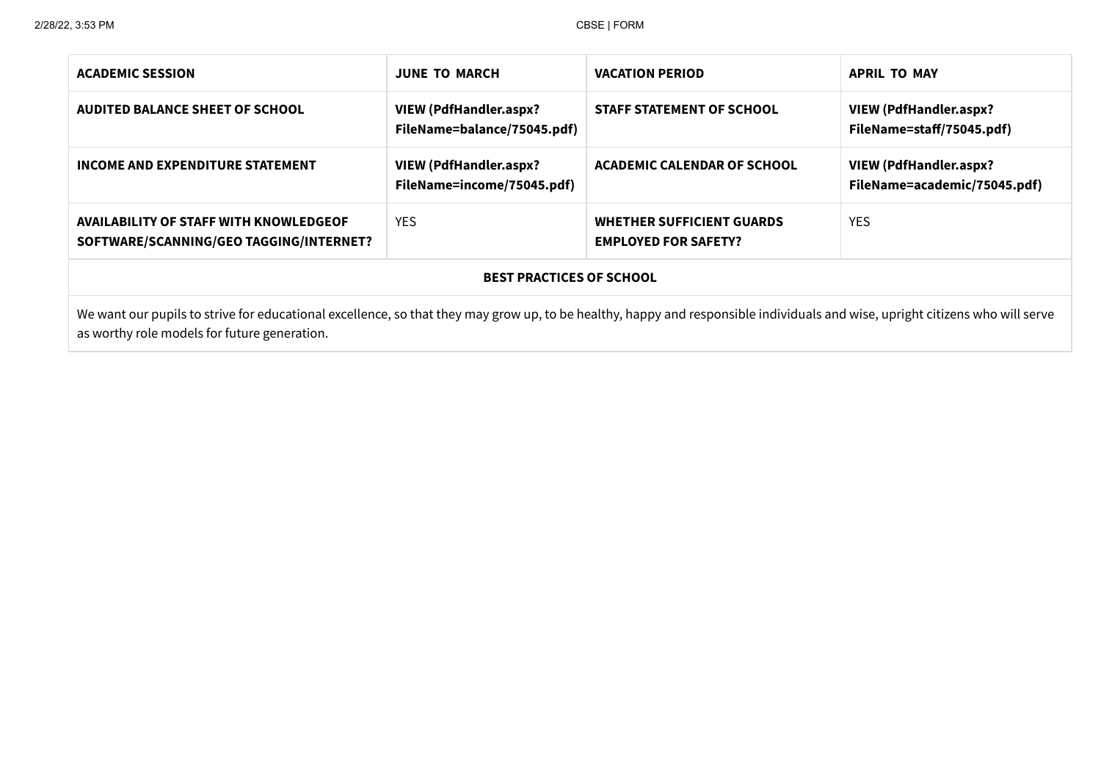| <b>ACADEMIC SESSION</b>                                                                                                                                                                                                       | <b>JUNE TO MARCH</b>                                         | <b>VACATION PERIOD</b>                                          | <b>APRIL TO MAY</b>                                           |  |
|-------------------------------------------------------------------------------------------------------------------------------------------------------------------------------------------------------------------------------|--------------------------------------------------------------|-----------------------------------------------------------------|---------------------------------------------------------------|--|
| <b>AUDITED BALANCE SHEET OF SCHOOL</b>                                                                                                                                                                                        | <b>VIEW (PdfHandler.aspx?</b><br>FileName=balance/75045.pdf) | <b>STAFF STATEMENT OF SCHOOL</b>                                | <b>VIEW (PdfHandler.aspx?</b><br>FileName=staff/75045.pdf)    |  |
| <b>INCOME AND EXPENDITURE STATEMENT</b>                                                                                                                                                                                       | <b>VIEW (PdfHandler.aspx?</b><br>FileName=income/75045.pdf)  | ACADEMIC CALENDAR OF SCHOOL                                     | <b>VIEW (PdfHandler.aspx?</b><br>FileName=academic/75045.pdf) |  |
| <b>AVAILABILITY OF STAFF WITH KNOWLEDGEOF</b><br>SOFTWARE/SCANNING/GEO TAGGING/INTERNET?                                                                                                                                      | <b>YES</b>                                                   | <b>WHETHER SUFFICIENT GUARDS</b><br><b>EMPLOYED FOR SAFETY?</b> | <b>YES</b>                                                    |  |
| <b>BEST PRACTICES OF SCHOOL</b>                                                                                                                                                                                               |                                                              |                                                                 |                                                               |  |
| We want our pupils to strive for educational excellence, so that they may grow up, to be healthy, happy and responsible individuals and wise, upright citizens who will serve<br>as worthy role models for future generation. |                                                              |                                                                 |                                                               |  |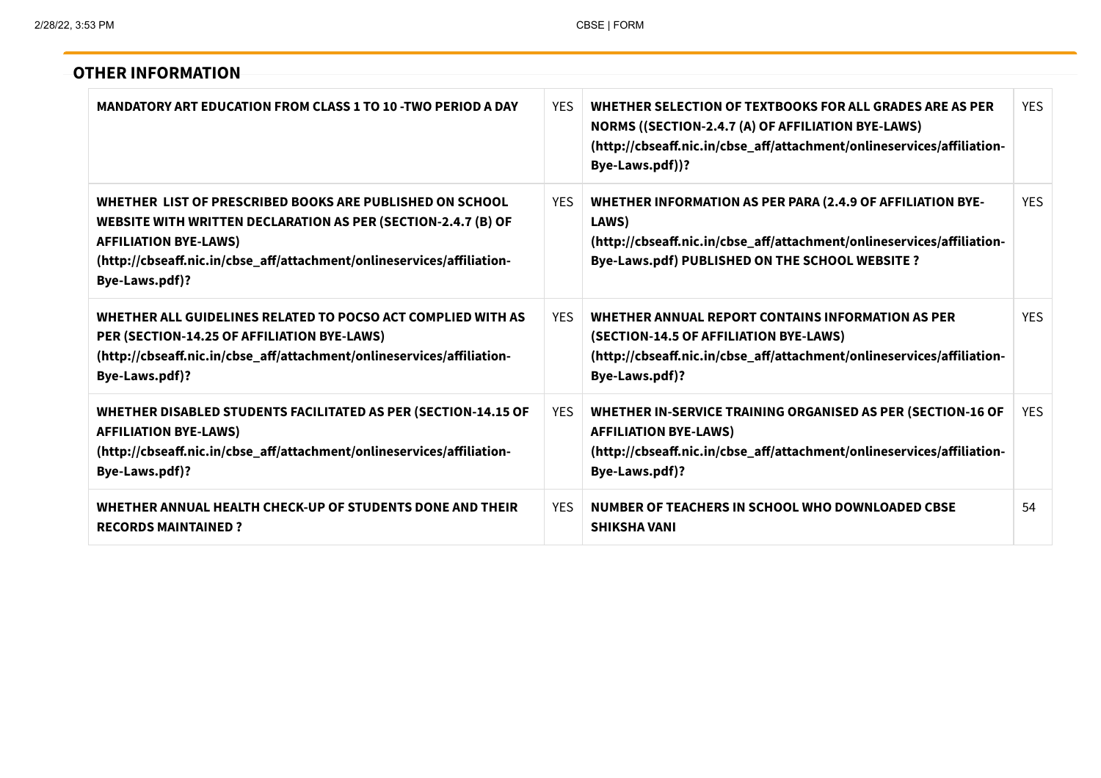| <b>OTHER INFORMATION</b>                                                                                                                                                                                                                              |            |                                                                                                                                                                                                             |            |
|-------------------------------------------------------------------------------------------------------------------------------------------------------------------------------------------------------------------------------------------------------|------------|-------------------------------------------------------------------------------------------------------------------------------------------------------------------------------------------------------------|------------|
| <b>MANDATORY ART EDUCATION FROM CLASS 1 TO 10 -TWO PERIOD A DAY</b>                                                                                                                                                                                   | <b>YES</b> | WHETHER SELECTION OF TEXTBOOKS FOR ALL GRADES ARE AS PER<br>NORMS ((SECTION-2.4.7 (A) OF AFFILIATION BYE-LAWS)<br>(http://cbseaff.nic.in/cbse_aff/attachment/onlineservices/affiliation-<br>Bye-Laws.pdf))? | <b>YES</b> |
| WHETHER LIST OF PRESCRIBED BOOKS ARE PUBLISHED ON SCHOOL<br>WEBSITE WITH WRITTEN DECLARATION AS PER (SECTION-2.4.7 (B) OF<br><b>AFFILIATION BYE-LAWS)</b><br>(http://cbseaff.nic.in/cbse_aff/attachment/onlineservices/affiliation-<br>Bye-Laws.pdf)? | YES.       | <b>WHETHER INFORMATION AS PER PARA (2.4.9 OF AFFILIATION BYE-</b><br>LAWS)<br>(http://cbseaff.nic.in/cbse_aff/attachment/onlineservices/affiliation-<br>Bye-Laws.pdf) PUBLISHED ON THE SCHOOL WEBSITE ?     | <b>YES</b> |
| WHETHER ALL GUIDELINES RELATED TO POCSO ACT COMPLIED WITH AS<br>PER (SECTION-14.25 OF AFFILIATION BYE-LAWS)<br>(http://cbseaff.nic.in/cbse_aff/attachment/onlineservices/affiliation-<br>Bye-Laws.pdf)?                                               | YFS.       | WHETHER ANNUAL REPORT CONTAINS INFORMATION AS PER<br>(SECTION-14.5 OF AFFILIATION BYE-LAWS)<br>(http://cbseaff.nic.in/cbse_aff/attachment/onlineservices/affiliation-<br>Bye-Laws.pdf)?                     | <b>YFS</b> |
| <b>WHETHER DISABLED STUDENTS FACILITATED AS PER (SECTION-14.15 OF</b><br><b>AFFILIATION BYE-LAWS)</b><br>(http://cbseaff.nic.in/cbse_aff/attachment/onlineservices/affiliation-<br>Bye-Laws.pdf)?                                                     | <b>YES</b> | WHETHER IN-SERVICE TRAINING ORGANISED AS PER (SECTION-16 OF<br><b>AFFILIATION BYE-LAWS)</b><br>(http://cbseaff.nic.in/cbse_aff/attachment/onlineservices/affiliation-<br>Bye-Laws.pdf)?                     | <b>YES</b> |
| WHETHER ANNUAL HEALTH CHECK-UP OF STUDENTS DONE AND THEIR<br><b>RECORDS MAINTAINED?</b>                                                                                                                                                               | <b>YES</b> | NUMBER OF TEACHERS IN SCHOOL WHO DOWNLOADED CBSE<br><b>SHIKSHA VANI</b>                                                                                                                                     | 54         |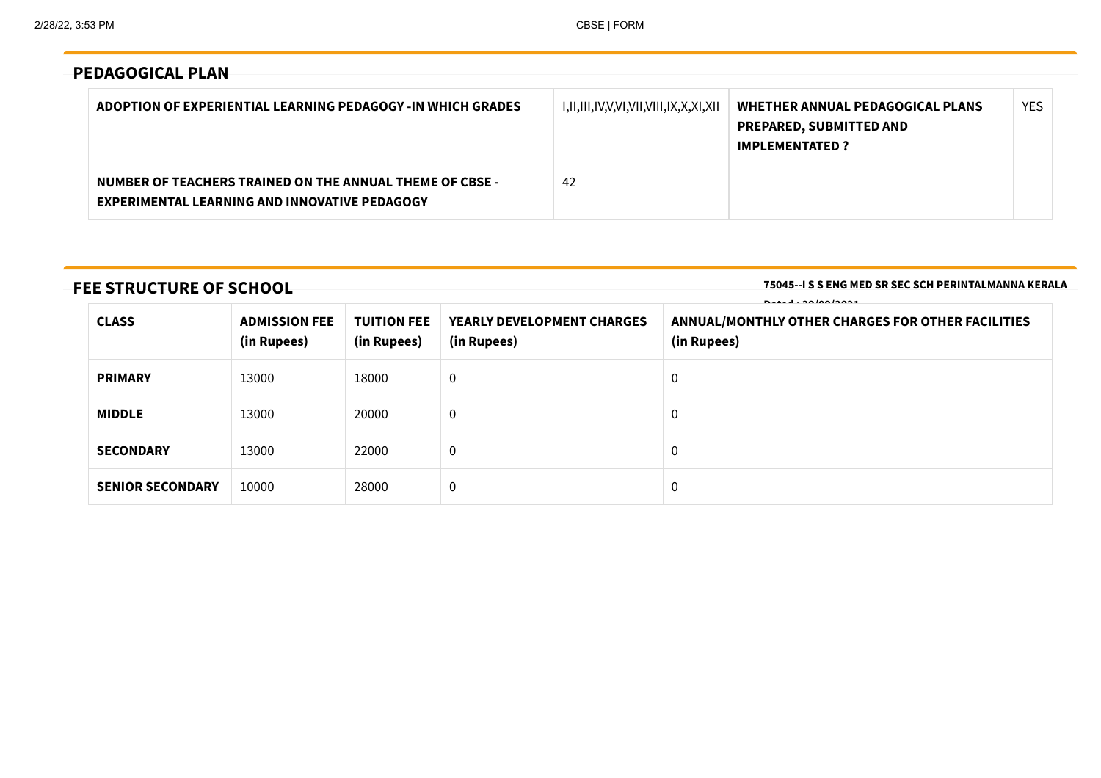## **PEDAGOGICAL PLAN**

| ADOPTION OF EXPERIENTIAL LEARNING PEDAGOGY -IN WHICH GRADES                                                      | I,II,III,IV,V,VI,VII,VIII,IX,X,XI,XII | WHETHER ANNUAL PEDAGOGICAL PLANS<br><b>PREPARED, SUBMITTED AND</b><br><b>IMPLEMENTATED ?</b> | <b>YES</b> |
|------------------------------------------------------------------------------------------------------------------|---------------------------------------|----------------------------------------------------------------------------------------------|------------|
| NUMBER OF TEACHERS TRAINED ON THE ANNUAL THEME OF CBSE -<br><b>EXPERIMENTAL LEARNING AND INNOVATIVE PEDAGOGY</b> | 42                                    |                                                                                              |            |

# **FEE STRUCTURE OF SCHOOL**

**75045--I S S ENG MED SR SEC SCH PERINTALMANNA KERALA**

| <b>CLASS</b>            | <b>ADMISSION FEE</b><br>(in Rupees) | <b>TUITION FEE</b><br>(in Rupees) | <b>YEARLY DEVELOPMENT CHARGES</b><br>(in Rupees) | $B = 1$ anisalasse<br>ANNUAL/MONTHLY OTHER CHARGES FOR OTHER FACILITIES<br>(in Rupees) |
|-------------------------|-------------------------------------|-----------------------------------|--------------------------------------------------|----------------------------------------------------------------------------------------|
| <b>PRIMARY</b>          | 13000                               | 18000                             | $\overline{0}$                                   | 0                                                                                      |
| <b>MIDDLE</b>           | 13000                               | 20000                             | $\mathbf 0$                                      | $\mathbf 0$                                                                            |
| <b>SECONDARY</b>        | 13000                               | 22000                             | $\mathbf 0$                                      | 0                                                                                      |
| <b>SENIOR SECONDARY</b> | 10000                               | 28000                             | $\mathbf 0$                                      | $\mathbf 0$                                                                            |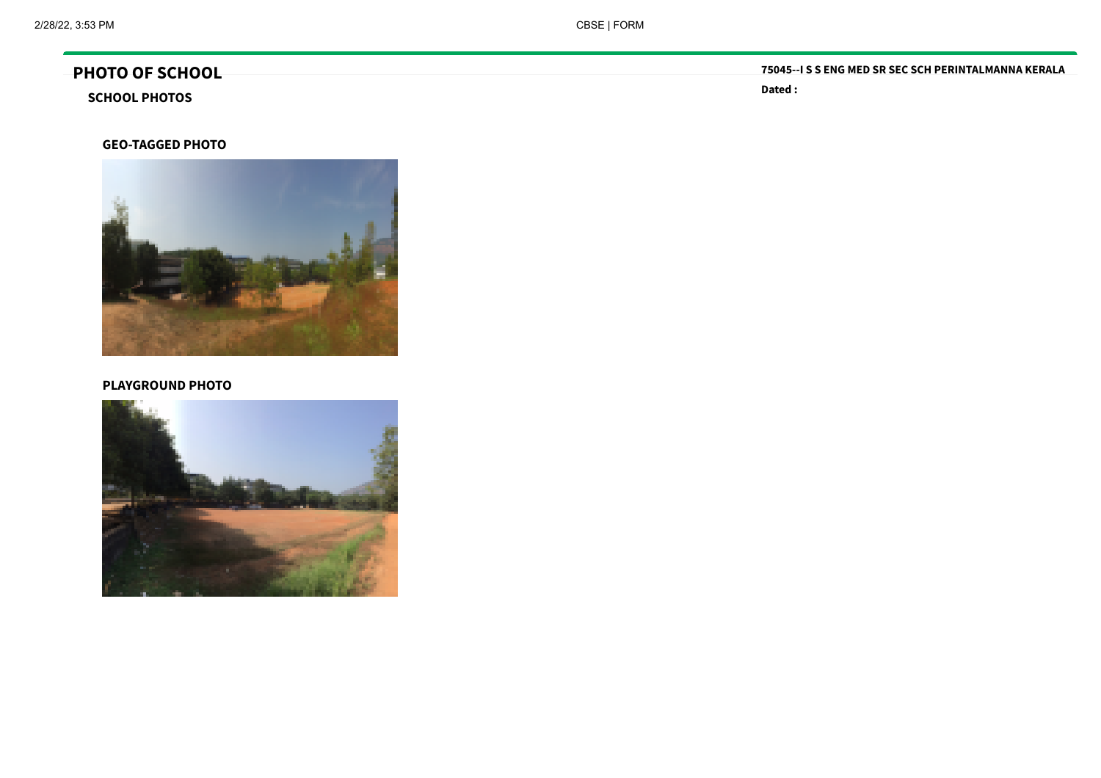# **PHOTO OF SCHOOL**

#### **SCHOOL PHOTOS**

#### **GEO-TAGGED PHOTO**



#### **PLAYGROUND PHOTO**



**75045--I S S ENG MED SR SEC SCH PERINTALMANNA KERALA**

**Dated :**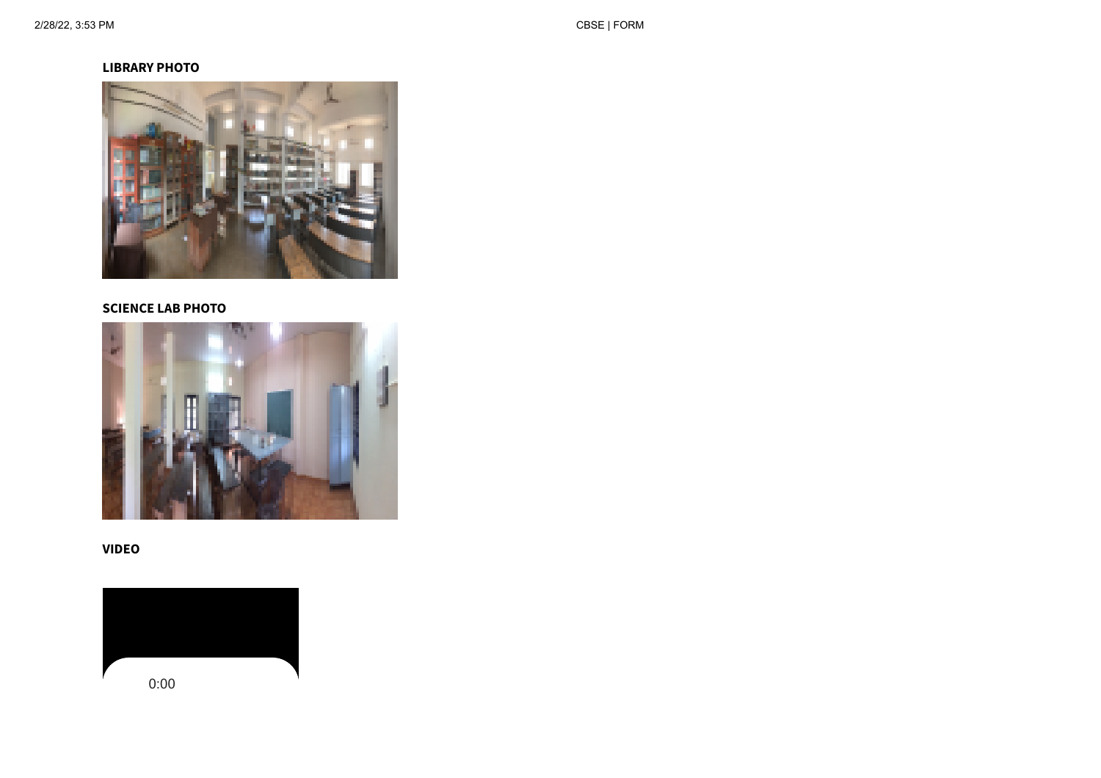#### **LIBRARY PHOTO**



#### **SCIENCE LAB PHOTO**



#### **VIDEO**

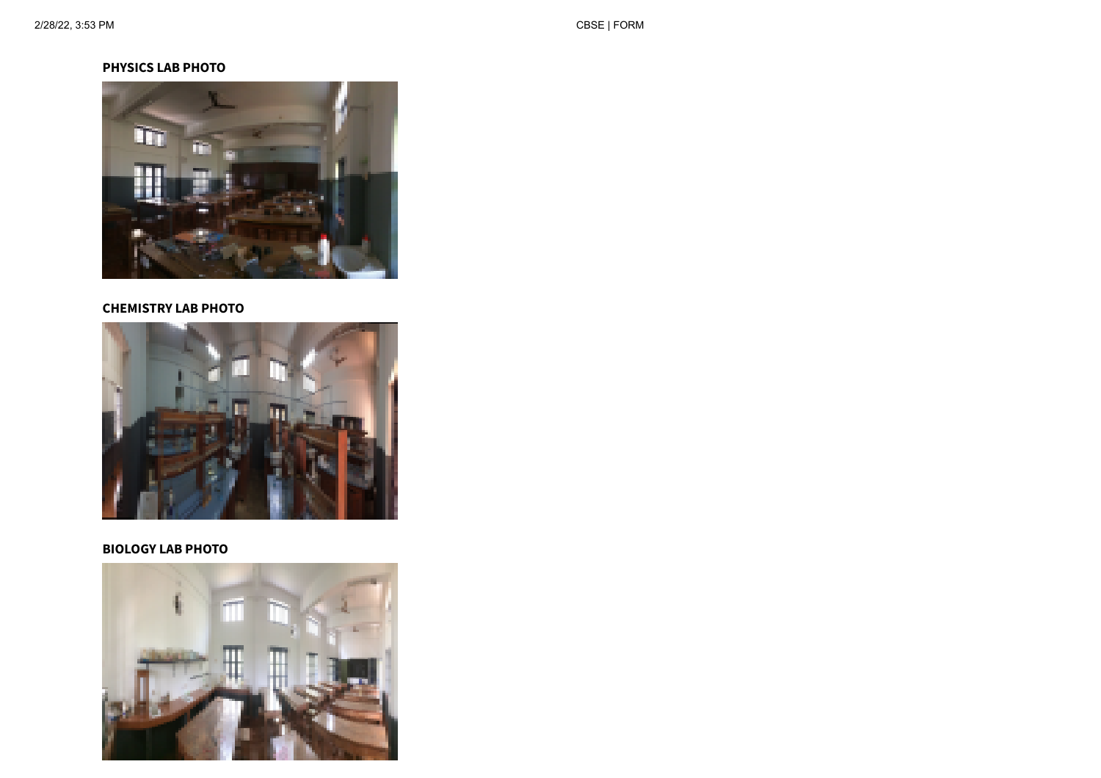

**BIOLOGY LAB PHOTO**



#### **CHEMISTRY LAB PHOTO**



**PHYSICS LAB PHOTO**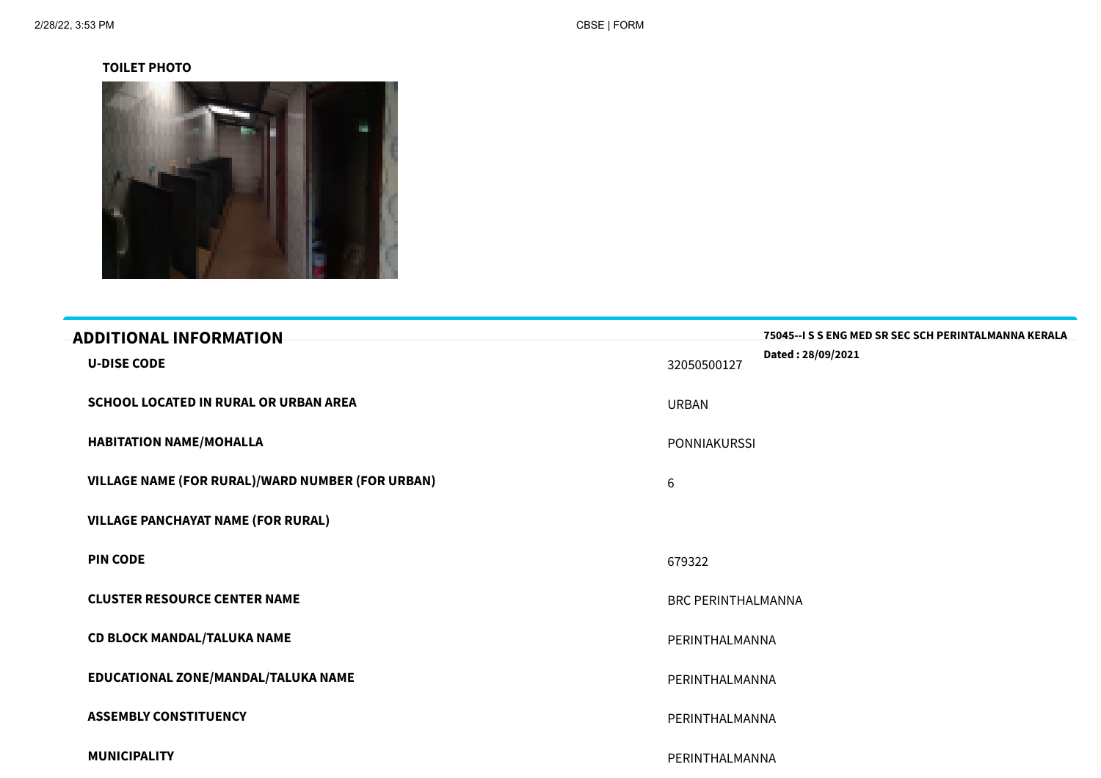#### **TOILET PHOTO**



| <b>ADDITIONAL INFORMATION</b><br><b>U-DISE CODE</b> | 75045--I S S ENG MED SR SEC SCH PERINTALMANNA KERALA<br>Dated: 28/09/2021<br>32050500127 |
|-----------------------------------------------------|------------------------------------------------------------------------------------------|
| <b>SCHOOL LOCATED IN RURAL OR URBAN AREA</b>        | <b>URBAN</b>                                                                             |
| <b>HABITATION NAME/MOHALLA</b>                      | PONNIAKURSSI                                                                             |
| VILLAGE NAME (FOR RURAL)/WARD NUMBER (FOR URBAN)    | $6\,$                                                                                    |
| <b>VILLAGE PANCHAYAT NAME (FOR RURAL)</b>           |                                                                                          |
| <b>PIN CODE</b>                                     | 679322                                                                                   |
| <b>CLUSTER RESOURCE CENTER NAME</b>                 | <b>BRC PERINTHALMANNA</b>                                                                |
| <b>CD BLOCK MANDAL/TALUKA NAME</b>                  | PERINTHALMANNA                                                                           |
| EDUCATIONAL ZONE/MANDAL/TALUKA NAME                 | PERINTHALMANNA                                                                           |
| <b>ASSEMBLY CONSTITUENCY</b>                        | PERINTHALMANNA                                                                           |
| <b>MUNICIPALITY</b>                                 | PERINTHALMANNA                                                                           |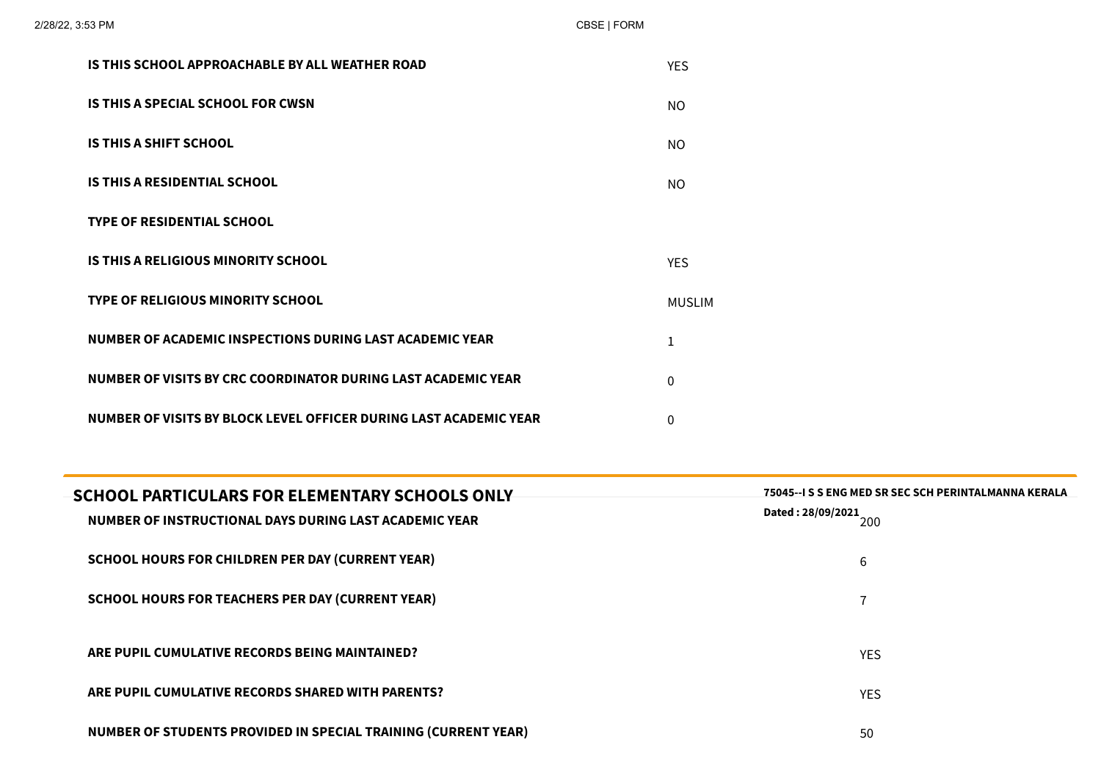| IS THIS SCHOOL APPROACHABLE BY ALL WEATHER ROAD                   | <b>YES</b>    |
|-------------------------------------------------------------------|---------------|
| IS THIS A SPECIAL SCHOOL FOR CWSN                                 | NO.           |
| IS THIS A SHIFT SCHOOL                                            | NO.           |
| <b>IS THIS A RESIDENTIAL SCHOOL</b>                               | NO.           |
| <b>TYPE OF RESIDENTIAL SCHOOL</b>                                 |               |
| IS THIS A RELIGIOUS MINORITY SCHOOL                               | <b>YES</b>    |
| <b>TYPE OF RELIGIOUS MINORITY SCHOOL</b>                          | <b>MUSLIM</b> |
| NUMBER OF ACADEMIC INSPECTIONS DURING LAST ACADEMIC YEAR          | 1             |
| NUMBER OF VISITS BY CRC COORDINATOR DURING LAST ACADEMIC YEAR     | $\Omega$      |
| NUMBER OF VISITS BY BLOCK LEVEL OFFICER DURING LAST ACADEMIC YEAR | $\Omega$      |

| <b>SCHOOL PARTICULARS FOR ELEMENTARY SCHOOLS ONLY</b><br>NUMBER OF INSTRUCTIONAL DAYS DURING LAST ACADEMIC YEAR | 75045--I S S ENG MED SR SEC SCH PERINTALMANNA KERALA<br>Dated: 28/09/2021<br>200 |
|-----------------------------------------------------------------------------------------------------------------|----------------------------------------------------------------------------------|
| <b>SCHOOL HOURS FOR CHILDREN PER DAY (CURRENT YEAR)</b>                                                         | 6                                                                                |
| <b>SCHOOL HOURS FOR TEACHERS PER DAY (CURRENT YEAR)</b>                                                         |                                                                                  |
| ARE PUPIL CUMULATIVE RECORDS BEING MAINTAINED?                                                                  | <b>YES</b>                                                                       |
| ARE PUPIL CUMULATIVE RECORDS SHARED WITH PARENTS?                                                               | <b>YES</b>                                                                       |
| <b>NUMBER OF STUDENTS PROVIDED IN SPECIAL TRAINING (CURRENT YEAR)</b>                                           | 50                                                                               |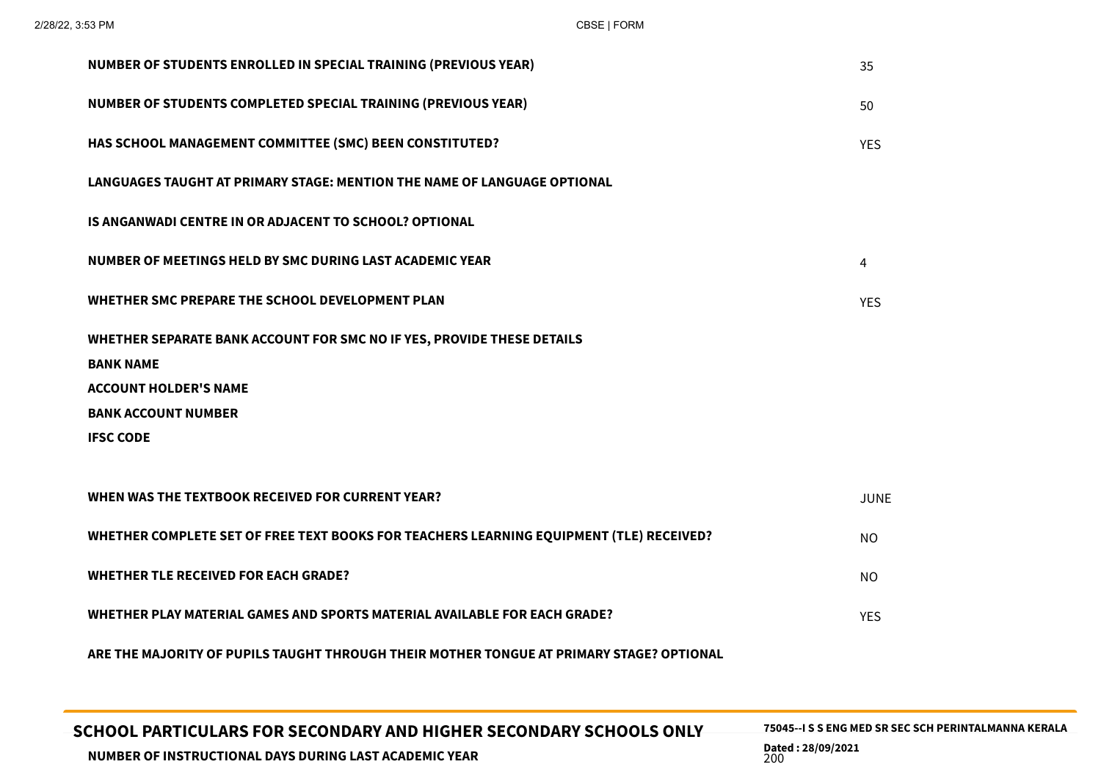| <b>NUMBER OF STUDENTS ENROLLED IN SPECIAL TRAINING (PREVIOUS YEAR)</b>                   | 35          |
|------------------------------------------------------------------------------------------|-------------|
| NUMBER OF STUDENTS COMPLETED SPECIAL TRAINING (PREVIOUS YEAR)                            | 50          |
| HAS SCHOOL MANAGEMENT COMMITTEE (SMC) BEEN CONSTITUTED?                                  | <b>YES</b>  |
| LANGUAGES TAUGHT AT PRIMARY STAGE: MENTION THE NAME OF LANGUAGE OPTIONAL                 |             |
| IS ANGANWADI CENTRE IN OR ADJACENT TO SCHOOL? OPTIONAL                                   |             |
| NUMBER OF MEETINGS HELD BY SMC DURING LAST ACADEMIC YEAR                                 | 4           |
| WHETHER SMC PREPARE THE SCHOOL DEVELOPMENT PLAN                                          | <b>YFS</b>  |
| WHETHER SEPARATE BANK ACCOUNT FOR SMC NO IF YES, PROVIDE THESE DETAILS                   |             |
| <b>BANK NAME</b>                                                                         |             |
| <b>ACCOUNT HOLDER'S NAME</b>                                                             |             |
| <b>BANK ACCOUNT NUMBER</b>                                                               |             |
| <b>IFSC CODE</b>                                                                         |             |
|                                                                                          |             |
| WHEN WAS THE TEXTBOOK RECEIVED FOR CURRENT YEAR?                                         | <b>JUNE</b> |
| WHETHER COMPLETE SET OF FREE TEXT BOOKS FOR TEACHERS LEARNING EQUIPMENT (TLE) RECEIVED?  | <b>NO</b>   |
| <b>WHETHER TLE RECEIVED FOR EACH GRADE?</b>                                              | <b>NO</b>   |
| WHETHER PLAY MATERIAL GAMES AND SPORTS MATERIAL AVAILABLE FOR EACH GRADE?                | <b>YES</b>  |
| ARE THE MAJORITY OF PUPILS TAUGHT THROUGH THEIR MOTHER TONGUE AT PRIMARY STAGE? OPTIONAL |             |

**SCHOOL PARTICULARS FOR SECONDARY AND HIGHER SECONDARY SCHOOLS ONLY Dated : 28/09/2021 NUMBER OF INSTRUCTIONAL DAYS DURING LAST ACADEMIC YEAR** <sup>200</sup>

**75045--I S S ENG MED SR SEC SCH PERINTALMANNA KERALA**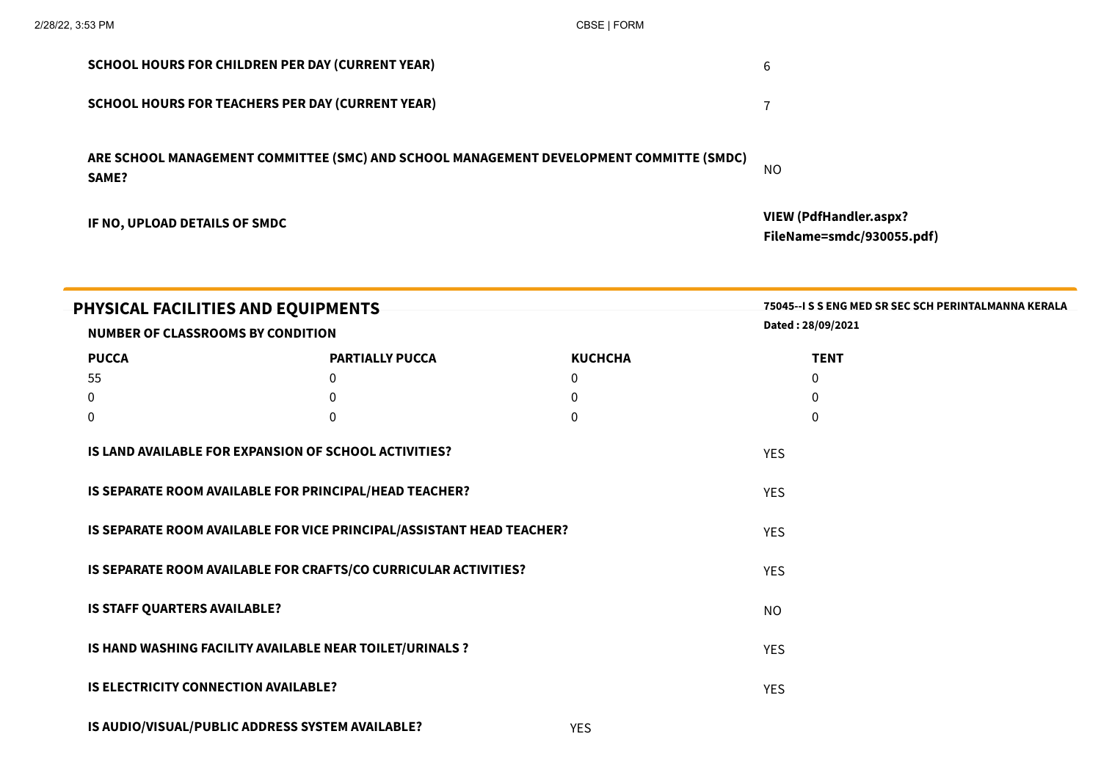| IF NO, UPLOAD DETAILS OF SMDC                                                                           | <b>VIEW (PdfHandler.aspx?</b><br>FileName=smdc/930055.pdf) |
|---------------------------------------------------------------------------------------------------------|------------------------------------------------------------|
| ARE SCHOOL MANAGEMENT COMMITTEE (SMC) AND SCHOOL MANAGEMENT DEVELOPMENT COMMITTE (SMDC)<br><b>SAME?</b> | NO                                                         |
| <b>SCHOOL HOURS FOR TEACHERS PER DAY (CURRENT YEAR)</b>                                                 |                                                            |
| <b>SCHOOL HOURS FOR CHILDREN PER DAY (CURRENT YEAR)</b>                                                 | 6                                                          |

| PHYSICAL FACILITIES AND EQUIPMENTS                                    |                                                                 |                | 75045--I S S ENG MED SR SEC SCH PERINTALMANNA KERALA |  |
|-----------------------------------------------------------------------|-----------------------------------------------------------------|----------------|------------------------------------------------------|--|
| <b>NUMBER OF CLASSROOMS BY CONDITION</b>                              |                                                                 |                | Dated: 28/09/2021                                    |  |
| <b>PUCCA</b>                                                          | <b>PARTIALLY PUCCA</b>                                          | <b>KUCHCHA</b> | <b>TENT</b>                                          |  |
| 55                                                                    | 0                                                               | 0              | 0                                                    |  |
| 0                                                                     | $\mathbf{0}$                                                    | 0              | $\mathbf{0}$                                         |  |
| 0                                                                     | $\mathbf{0}$                                                    | 0              | $\mathbf 0$                                          |  |
|                                                                       | IS LAND AVAILABLE FOR EXPANSION OF SCHOOL ACTIVITIES?           |                | <b>YES</b>                                           |  |
|                                                                       | IS SEPARATE ROOM AVAILABLE FOR PRINCIPAL/HEAD TEACHER?          |                | <b>YES</b>                                           |  |
| IS SEPARATE ROOM AVAILABLE FOR VICE PRINCIPAL/ASSISTANT HEAD TEACHER? |                                                                 | <b>YES</b>     |                                                      |  |
|                                                                       | IS SEPARATE ROOM AVAILABLE FOR CRAFTS/CO CURRICULAR ACTIVITIES? |                | <b>YES</b>                                           |  |
| <b>IS STAFF QUARTERS AVAILABLE?</b>                                   |                                                                 |                | NO                                                   |  |
|                                                                       | IS HAND WASHING FACILITY AVAILABLE NEAR TOILET/URINALS ?        |                | <b>YES</b>                                           |  |
| <b>IS ELECTRICITY CONNECTION AVAILABLE?</b>                           |                                                                 |                | <b>YES</b>                                           |  |
|                                                                       | IS AUDIO/VISUAL/PUBLIC ADDRESS SYSTEM AVAILABLE?                | <b>YES</b>     |                                                      |  |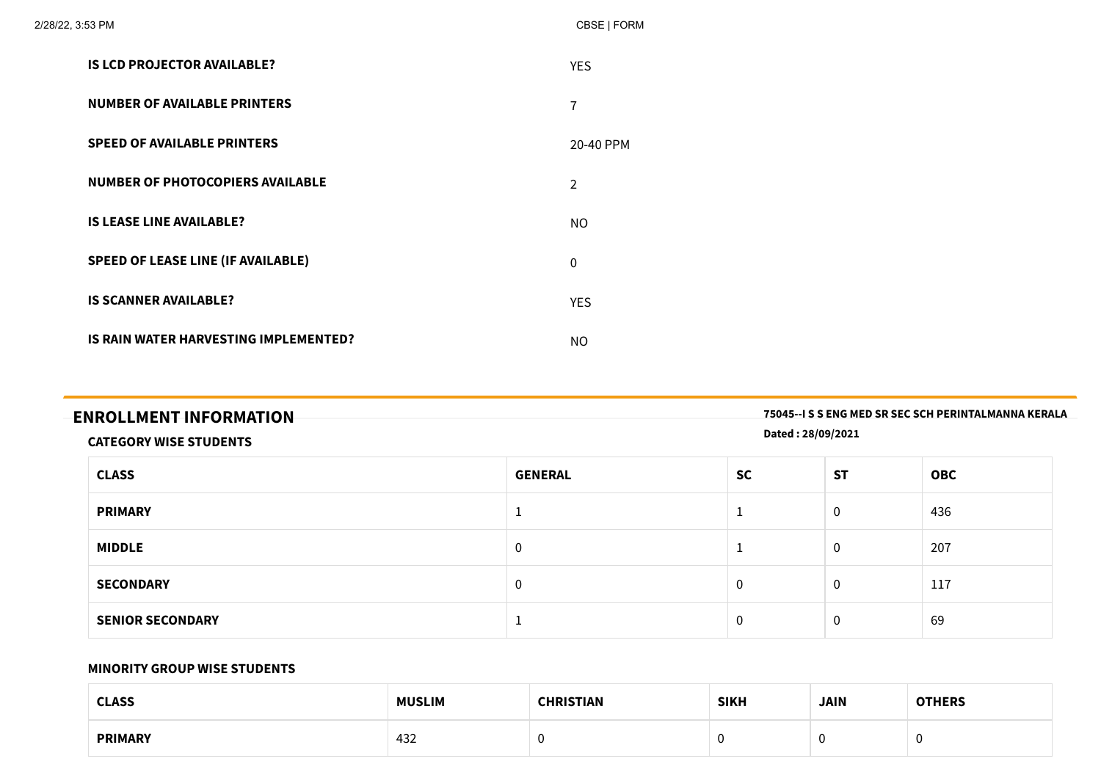| 2/28/22, 3:53 PM |                                           | CBSE   FORM    |
|------------------|-------------------------------------------|----------------|
|                  | <b>IS LCD PROJECTOR AVAILABLE?</b>        | <b>YES</b>     |
|                  | <b>NUMBER OF AVAILABLE PRINTERS</b>       | $\overline{7}$ |
|                  | <b>SPEED OF AVAILABLE PRINTERS</b>        | 20-40 PPM      |
|                  | <b>NUMBER OF PHOTOCOPIERS AVAILABLE</b>   | $\overline{2}$ |
|                  | <b>IS LEASE LINE AVAILABLE?</b>           | <b>NO</b>      |
|                  | <b>SPEED OF LEASE LINE (IF AVAILABLE)</b> | $\mathbf 0$    |
|                  | <b>IS SCANNER AVAILABLE?</b>              | <b>YES</b>     |
|                  | IS RAIN WATER HARVESTING IMPLEMENTED?     | <b>NO</b>      |

| <b>ENROLLMENT INFORMATION</b> |  |
|-------------------------------|--|
|-------------------------------|--|

**ENROLLMENT INFORMATION 75045--I <sup>S</sup> <sup>S</sup> ENG MED SR SEC SCH PERINTALMANNA KERALA Dated : 28/09/2021**

### **CATEGORY WISE STUDENTS**

| <b>CLASS</b>            | <b>GENERAL</b> | <b>SC</b> | <b>ST</b>   | <b>OBC</b> |
|-------------------------|----------------|-----------|-------------|------------|
| <b>PRIMARY</b>          |                |           | $\mathbf 0$ | 436        |
| <b>MIDDLE</b>           | 0              |           | 0           | 207        |
| <b>SECONDARY</b>        | 0              | 0         | 0           | 117        |
| <b>SENIOR SECONDARY</b> |                | 0         | $\mathbf 0$ | 69         |

### **MINORITY GROUP WISE STUDENTS**

| <b>CLASS</b>   | <b>MUSLIM</b> | CHRISTIAN | <b>SIKH</b> | <b>JAIN</b> | <b>OTHERS</b> |
|----------------|---------------|-----------|-------------|-------------|---------------|
| <b>PRIMARY</b> | 432           |           |             |             | ັບ            |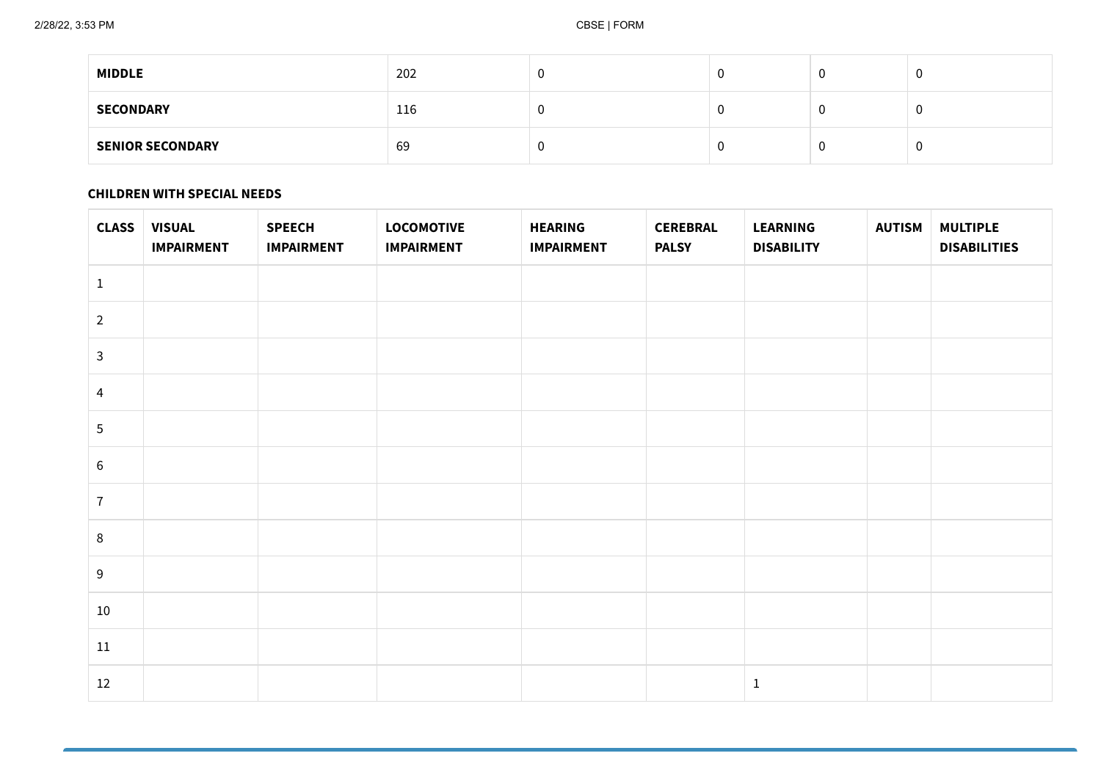| <b>MIDDLE</b>           | 202 |   | v | ◡ |
|-------------------------|-----|---|---|---|
| <b>SECONDARY</b>        | 116 | v | v | υ |
| <b>SENIOR SECONDARY</b> | 69  | v | u | ν |

#### **CHILDREN WITH SPECIAL NEEDS**

| <b>CLASS</b>     | <b>VISUAL</b><br><b>IMPAIRMENT</b> | <b>SPEECH</b><br><b>IMPAIRMENT</b> | <b>LOCOMOTIVE</b><br><b>IMPAIRMENT</b> | <b>HEARING</b><br><b>IMPAIRMENT</b> | <b>CEREBRAL</b><br><b>PALSY</b> | <b>LEARNING</b><br><b>DISABILITY</b> | <b>AUTISM</b> | <b>MULTIPLE</b><br><b>DISABILITIES</b> |
|------------------|------------------------------------|------------------------------------|----------------------------------------|-------------------------------------|---------------------------------|--------------------------------------|---------------|----------------------------------------|
| $\mathbf{1}$     |                                    |                                    |                                        |                                     |                                 |                                      |               |                                        |
| $\overline{2}$   |                                    |                                    |                                        |                                     |                                 |                                      |               |                                        |
| $\mathbf{3}$     |                                    |                                    |                                        |                                     |                                 |                                      |               |                                        |
| $\overline{4}$   |                                    |                                    |                                        |                                     |                                 |                                      |               |                                        |
| $\sqrt{5}$       |                                    |                                    |                                        |                                     |                                 |                                      |               |                                        |
| $\,6\,$          |                                    |                                    |                                        |                                     |                                 |                                      |               |                                        |
| $\overline{7}$   |                                    |                                    |                                        |                                     |                                 |                                      |               |                                        |
| 8                |                                    |                                    |                                        |                                     |                                 |                                      |               |                                        |
| $\boldsymbol{9}$ |                                    |                                    |                                        |                                     |                                 |                                      |               |                                        |
| 10               |                                    |                                    |                                        |                                     |                                 |                                      |               |                                        |
| $11\,$           |                                    |                                    |                                        |                                     |                                 |                                      |               |                                        |
| 12               |                                    |                                    |                                        |                                     |                                 | $\mathbf{1}$                         |               |                                        |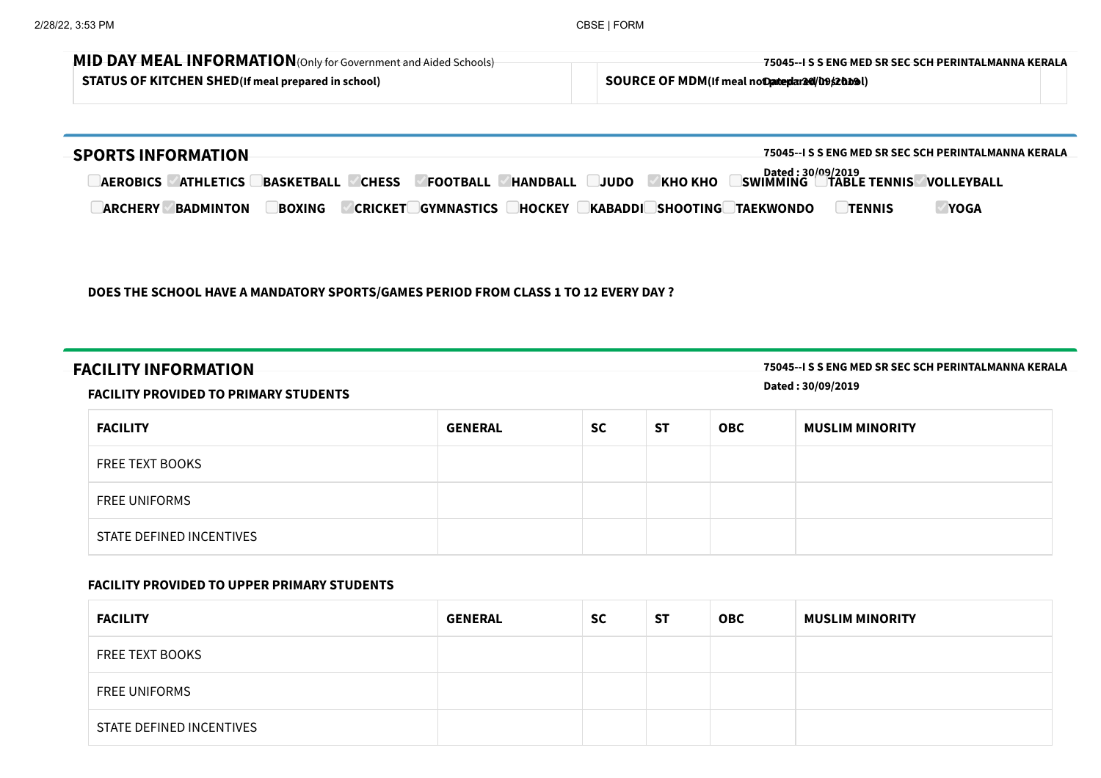| MID DAY MEAL INFORMATION(Only for Government and Aided Schools) | –75045--I S S ENG MED SR SEC SCH PERINTALMANNA KERALA |
|-----------------------------------------------------------------|-------------------------------------------------------|
| <b>STATUS OF KITCHEN SHED(If meal prepared in school)</b>       | SOURCE OF MDM(If meal notDateplar200/09\$20100)       |

| <b>SPORTS INFORMATION</b>                                                                                                                       | 75045--I S S ENG MED SR SEC SCH PERINTALMANNA KERALA                             |
|-------------------------------------------------------------------------------------------------------------------------------------------------|----------------------------------------------------------------------------------|
| <b>ATHLETICS</b><br><b>BASKETBALL</b><br><b>KHO KHO</b><br><b>FOOTBALL</b><br><b>HANDBALL</b><br><b>AEROBICS</b><br><b>CHESS</b><br><b>JUDO</b> | Dated:30/09/2019<br>Dated:30/09/2019<br>LTABLE TENNIS® VULL<br><b>VOLLEYBALL</b> |
| <b>GYMNASTICS</b><br><b>CRICKET</b><br>KABADDI<br><b>SHOOTING</b><br><b>HOCKEY</b><br><b>BOXING</b><br><b>ARCHERY</b><br><b>BADMINTON</b>       | <b>YOGA</b><br><b>TAEKWONDO</b><br><b>TENNIS</b>                                 |

**DOES THE SCHOOL HAVE A MANDATORY SPORTS/GAMES PERIOD FROM CLASS 1 TO 12 EVERY DAY ?**

**FACILITY INFORMATION 75045--I <sup>S</sup> <sup>S</sup> ENG MED SR SEC SCH PERINTALMANNA KERALA**

**Dated : 30/09/2019**

#### **FACILITY PROVIDED TO PRIMARY STUDENTS**

| <b>FACILITY</b>          | <b>GENERAL</b> | <b>SC</b> | <b>ST</b> | <b>OBC</b> | <b>MUSLIM MINORITY</b> |
|--------------------------|----------------|-----------|-----------|------------|------------------------|
| <b>FREE TEXT BOOKS</b>   |                |           |           |            |                        |
| <b>FREE UNIFORMS</b>     |                |           |           |            |                        |
| STATE DEFINED INCENTIVES |                |           |           |            |                        |

#### **FACILITY PROVIDED TO UPPER PRIMARY STUDENTS**

| <b>FACILITY</b>          | <b>GENERAL</b> | <b>SC</b> | <b>ST</b> | <b>OBC</b> | <b>MUSLIM MINORITY</b> |
|--------------------------|----------------|-----------|-----------|------------|------------------------|
| FREE TEXT BOOKS          |                |           |           |            |                        |
| <b>FREE UNIFORMS</b>     |                |           |           |            |                        |
| STATE DEFINED INCENTIVES |                |           |           |            |                        |